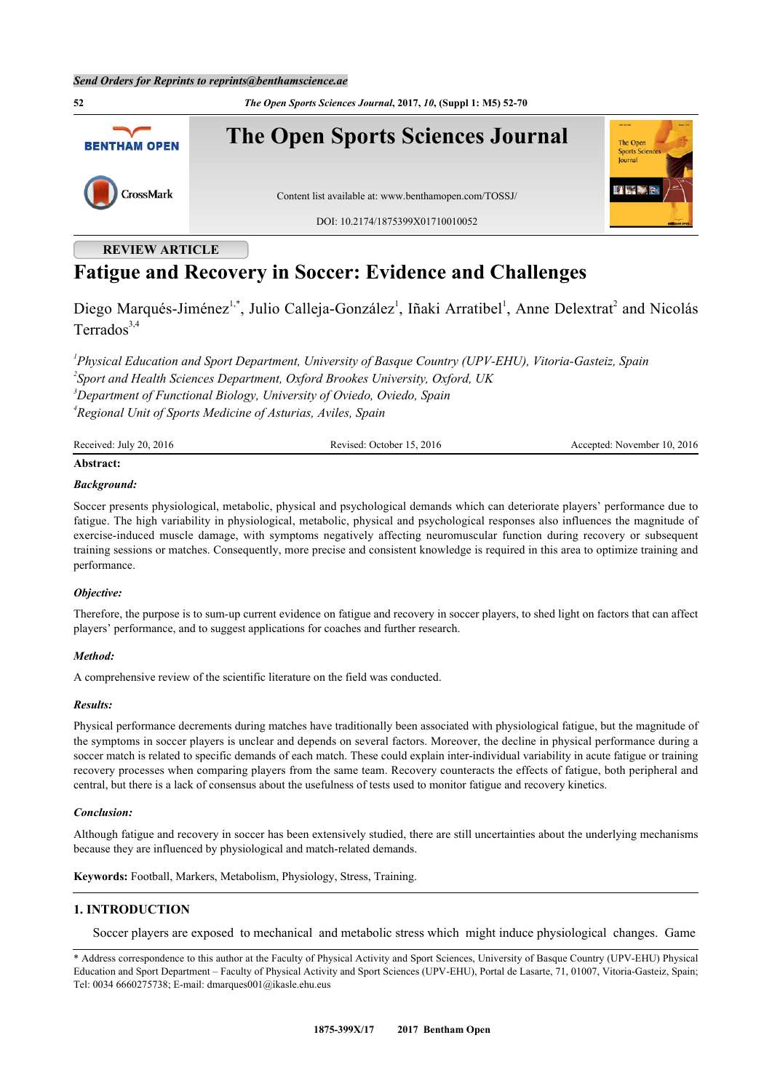**52** *The Open Sports Sciences Journal***, 2017,** *10***, (Suppl 1: M5) 52-70**



# **REVIEW ARTICLE**

# **Fatigue and Recovery in Soccer: Evidence and Challenges**

Diego Marqués-Jiménez<sup>[1](#page-0-0),[\\*](#page-0-1)</sup>, Julio Calleja-González<sup>1</sup>, Iñaki Arratibel<sup>1</sup>, Anne Delextrat<sup>[2](#page-0-2)</sup> and Nicolás Terrados $3,4$  $3,4$ 

<span id="page-0-3"></span><span id="page-0-2"></span><span id="page-0-0"></span> *Physical Education and Sport Department, University of Basque Country (UPV-EHU), Vitoria-Gasteiz, Spain Sport and Health Sciences Department, Oxford Brookes University, Oxford, UK Department of Functional Biology, University of Oviedo, Oviedo, Spain Regional Unit of Sports Medicine of Asturias, Aviles, Spain*

<span id="page-0-4"></span>Received: July 20, 2016 Revised: October 15, 2016 Revised: October 15, 2016 Accepted: November 10, 2016

# **Abstract:**

# *Background:*

Soccer presents physiological, metabolic, physical and psychological demands which can deteriorate players' performance due to fatigue. The high variability in physiological, metabolic, physical and psychological responses also influences the magnitude of exercise-induced muscle damage, with symptoms negatively affecting neuromuscular function during recovery or subsequent training sessions or matches. Consequently, more precise and consistent knowledge is required in this area to optimize training and performance.

# *Objective:*

Therefore, the purpose is to sum*-*up current evidence on fatigue and recovery in soccer players, to shed light on factors that can affect players' performance, and to suggest applications for coaches and further research.

# *Method:*

A comprehensive review of the scientific literature on the field was conducted.

#### *Results:*

Physical performance decrements during matches have traditionally been associated with physiological fatigue, but the magnitude of the symptoms in soccer players is unclear and depends on several factors. Moreover, the decline in physical performance during a soccer match is related to specific demands of each match. These could explain inter-individual variability in acute fatigue or training recovery processes when comparing players from the same team. Recovery counteracts the effects of fatigue, both peripheral and central, but there is a lack of consensus about the usefulness of tests used to monitor fatigue and recovery kinetics.

# *Conclusion:*

Although fatigue and recovery in soccer has been extensively studied, there are still uncertainties about the underlying mechanisms because they are influenced by physiological and match-related demands.

**Keywords:** Football, Markers, Metabolism, Physiology, Stress, Training.

# **1. INTRODUCTION**

Soccer players are exposed to mechanical and metabolic stress which might induce physiological changes. Game

<span id="page-0-1"></span><sup>\*</sup> Address correspondence to this author at the Faculty of Physical Activity and Sport Sciences, University of Basque Country (UPV-EHU) Physical Education and Sport Department – Faculty of Physical Activity and Sport Sciences (UPV-EHU), Portal de Lasarte, 71, 01007, Vitoria-Gasteiz, Spain; Tel: 0034 6660275738; E-mail: [dmarques001@ikasle.ehu.eus](mailto:dmarques001@ikasle.ehu.eus)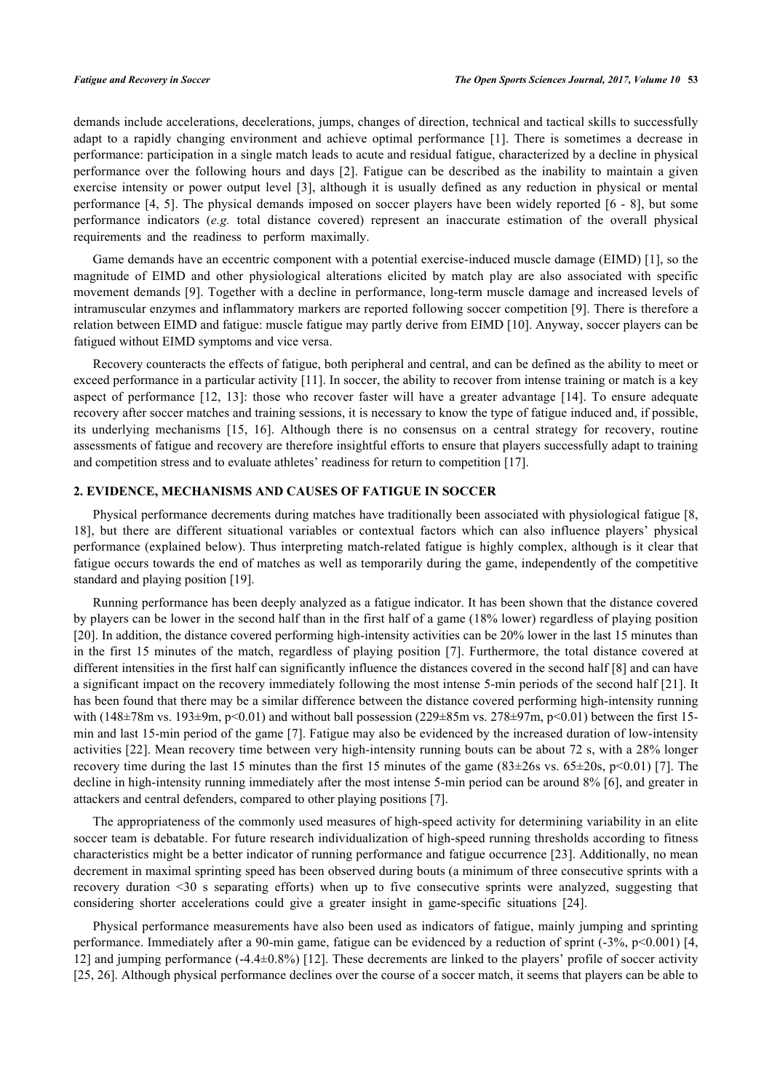demands include accelerations, decelerations, jumps, changes of direction, technical and tactical skills to successfully adapt to a rapidly changing environment and achieve optimal performance[[1\]](#page-9-0). There is sometimes a decrease in performance: participation in a single match leads to acute and residual fatigue, characterized by a decline in physical performance over the following hours and days [\[2](#page-9-1)]. Fatigue can be described as the inability to maintain a given exercise intensity or power output level [\[3](#page-10-0)], although it is usually defined as any reduction in physical or mental performance [\[4](#page-10-1), [5\]](#page-10-2). The physical demands imposed on soccer players have been widely reported [\[6](#page-10-3) - [8](#page-10-4)], but some performance indicators (*e.g.* total distance covered) represent an inaccurate estimation of the overall physical requirements and the readiness to perform maximally.

Game demands have an eccentric component with a potential exercise-induced muscle damage (EIMD) [[1\]](#page-9-0), so the magnitude of EIMD and other physiological alterations elicited by match play are also associated with specific movement demands [[9](#page-10-5)]. Together with a decline in performance, long-term muscle damage and increased levels of intramuscular enzymes and inflammatory markers are reported following soccer competition [\[9](#page-10-5)]. There is therefore a relation between EIMD and fatigue: muscle fatigue may partly derive from EIMD [[10\]](#page-10-6). Anyway, soccer players can be fatigued without EIMD symptoms and vice versa.

Recovery counteracts the effects of fatigue, both peripheral and central, and can be defined as the ability to meet or exceed performance in a particular activity [[11\]](#page-10-7). In soccer, the ability to recover from intense training or match is a key aspect of performance[[12,](#page-10-8) [13\]](#page-10-9): those who recover faster will have a greater advantage [\[14](#page-10-10)]. To ensure adequate recovery after soccer matches and training sessions, it is necessary to know the type of fatigue induced and, if possible, its underlying mechanisms [\[15,](#page-10-11) [16\]](#page-10-12). Although there is no consensus on a central strategy for recovery, routine assessments of fatigue and recovery are therefore insightful efforts to ensure that players successfully adapt to training and competition stress and to evaluate athletes' readiness for return to competition [\[17](#page-10-13)].

# **2. EVIDENCE, MECHANISMS AND CAUSES OF FATIGUE IN SOCCER**

Physical performance decrements during matches have traditionally been associated with physiological fatigue [[8](#page-10-4), [18\]](#page-10-14), but there are different situational variables or contextual factors which can also influence players' physical performance (explained below). Thus interpreting match-related fatigue is highly complex, although is it clear that fatigue occurs towards the end of matches as well as temporarily during the game, independently of the competitive standard and playing position [[19\]](#page-10-15).

Running performance has been deeply analyzed as a fatigue indicator. It has been shown that the distance covered by players can be lower in the second half than in the first half of a game (18% lower) regardless of playing position [\[20](#page-10-16)]. In addition, the distance covered performing high-intensity activities can be 20% lower in the last 15 minutes than in the first 15 minutes of the match, regardless of playing position [\[7](#page-10-17)]. Furthermore, the total distance covered at different intensities in the first half can significantly influence the distances covered in the second half [\[8](#page-10-4)] and can have a significant impact on the recovery immediately following the most intense 5-min periods of the second half [\[21\]](#page-10-18). It has been found that there may be a similar difference between the distance covered performing high-intensity running with (148 $\pm$ 78m vs. 193 $\pm$ 9m, p<0.01) and without ball possession (229 $\pm$ 85m vs. 278 $\pm$ 97m, p<0.01) between the first 15min and last 15-min period of the game [[7](#page-10-17)]. Fatigue may also be evidenced by the increased duration of low-intensity activities [\[22](#page-10-19)]. Mean recovery time between very high-intensity running bouts can be about 72 s, with a 28% longer recovery time during the last 15 minutes than the first 15 minutes of the game  $(83\pm26s \text{ vs. } 65\pm20s, \text{ p}\leq0.01)$  [[7\]](#page-10-17). The decline in high-intensity running immediately after the most intense 5-min period can be around 8% [\[6](#page-10-3)], and greater in attackers and central defenders, compared to other playing positions [[7\]](#page-10-17).

The appropriateness of the commonly used measures of high-speed activity for determining variability in an elite soccer team is debatable. For future research individualization of high-speed running thresholds according to fitness characteristics might be a better indicator of running performance and fatigue occurrence [[23](#page-10-20)]. Additionally, no mean decrement in maximal sprinting speed has been observed during bouts (a minimum of three consecutive sprints with a recovery duration <30 s separating efforts) when up to five consecutive sprints were analyzed, suggesting that considering shorter accelerations could give a greater insight in game-specific situations [\[24](#page-11-0)].

Physical performance measurements have also been used as indicators of fatigue, mainly jumping and sprinting performance. Immediately after a 90-min game, fatigue can be evidenced by a reduction of sprint (-3%, p<0.001) [[4](#page-10-1), [12\]](#page-10-8) and jumping performance (-4.4±0.8%) [\[12\]](#page-10-8). These decrements are linked to the players' profile of soccer activity [\[25](#page-11-1), [26](#page-11-2)]. Although physical performance declines over the course of a soccer match, it seems that players can be able to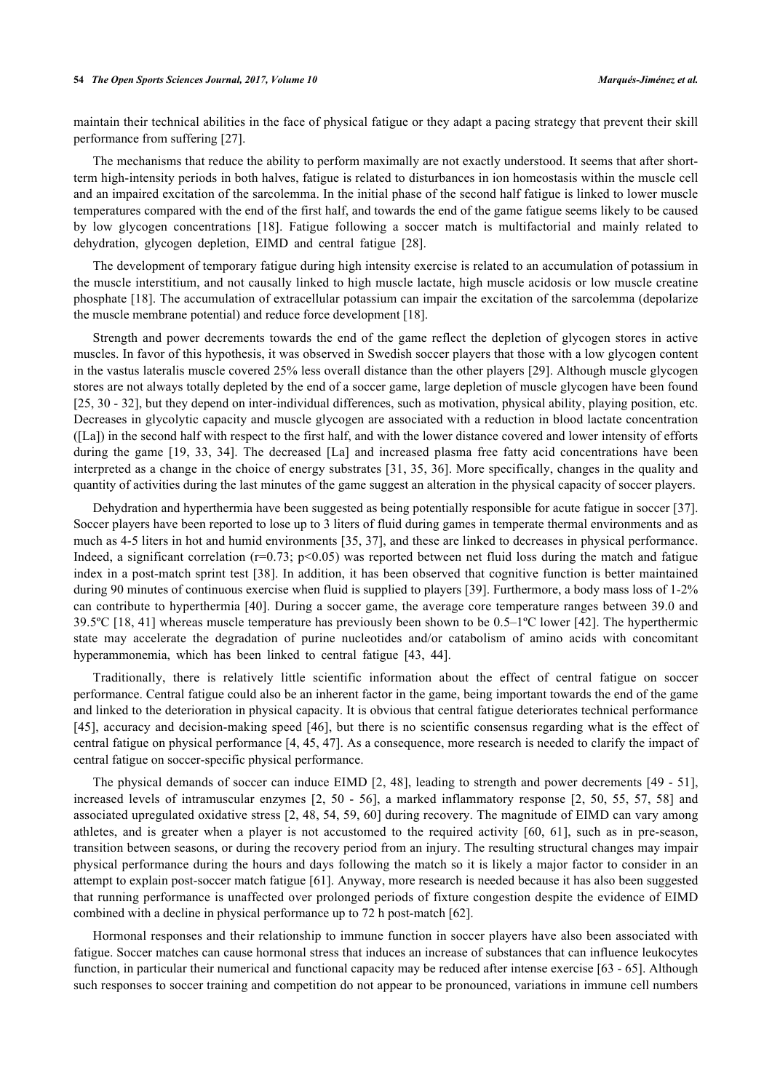#### **54** *The Open Sports Sciences Journal, 2017, Volume 10 Marqués-Jiménez et al.*

maintain their technical abilities in the face of physical fatigue or they adapt a pacing strategy that prevent their skill performance from suffering [[27\]](#page-11-3).

The mechanisms that reduce the ability to perform maximally are not exactly understood. It seems that after shortterm high-intensity periods in both halves, fatigue is related to disturbances in ion homeostasis within the muscle cell and an impaired excitation of the sarcolemma. In the initial phase of the second half fatigue is linked to lower muscle temperatures compared with the end of the first half, and towards the end of the game fatigue seems likely to be caused by low glycogen concentrations[[18](#page-10-14)]. Fatigue following a soccer match is multifactorial and mainly related to dehydration, glycogen depletion, EIMD and central fatigue [\[28](#page-11-4)].

The development of temporary fatigue during high intensity exercise is related to an accumulation of potassium in the muscle interstitium, and not causally linked to high muscle lactate, high muscle acidosis or low muscle creatine phosphate [\[18](#page-10-14)]. The accumulation of extracellular potassium can impair the excitation of the sarcolemma (depolarize the muscle membrane potential) and reduce force development [\[18](#page-10-14)].

Strength and power decrements towards the end of the game reflect the depletion of glycogen stores in active muscles. In favor of this hypothesis, it was observed in Swedish soccer players that those with a low glycogen content in the vastus lateralis muscle covered 25% less overall distance than the other players [[29\]](#page-11-5). Although muscle glycogen stores are not always totally depleted by the end of a soccer game, large depletion of muscle glycogen have been found [\[25](#page-11-1), [30](#page-11-6) - [32\]](#page-11-7), but they depend on inter-individual differences, such as motivation, physical ability, playing position, etc. Decreases in glycolytic capacity and muscle glycogen are associated with a reduction in blood lactate concentration ([La]) in the second half with respect to the first half, and with the lower distance covered and lower intensity of efforts duringthe game [[19,](#page-10-15) [33,](#page-11-8) [34\]](#page-11-9). The decreased [La] and increased plasma free fatty acid concentrations have been interpreted as a change in the choice of energy substrates [[31](#page-11-10), [35,](#page-11-11) [36\]](#page-11-12). More specifically, changes in the quality and quantity of activities during the last minutes of the game suggest an alteration in the physical capacity of soccer players.

Dehydration and hyperthermia have been suggested as being potentially responsible for acute fatigue in soccer [[37\]](#page-11-13). Soccer players have been reported to lose up to 3 liters of fluid during games in temperate thermal environments and as much as 4-5 liters in hot and humid environments [\[35,](#page-11-11) [37](#page-11-13)], and these are linked to decreases in physical performance. Indeed, a significant correlation ( $r=0.73$ ;  $p<0.05$ ) was reported between net fluid loss during the match and fatigue index in a post-match sprint test [[38\]](#page-11-14). In addition, it has been observed that cognitive function is better maintained during 90 minutes of continuous exercise when fluid is supplied to players [[39](#page-11-15)]. Furthermore, a body mass loss of 1-2% can contribute to hyperthermia [\[40](#page-11-16)]. During a soccer game, the average core temperature ranges between 39.0 and 39.5ºC [[18](#page-10-14), [41\]](#page-11-17) whereas muscle temperature has previously been shown to be 0.5–1ºC lower [\[42](#page-11-18)]. The hyperthermic state may accelerate the degradation of purine nucleotides and/or catabolism of amino acids with concomitant hyperammonemia, which has been linked to central fatigue [\[43](#page-11-19), [44](#page-11-20)].

Traditionally, there is relatively little scientific information about the effect of central fatigue on soccer performance. Central fatigue could also be an inherent factor in the game, being important towards the end of the game and linked to the deterioration in physical capacity. It is obvious that central fatigue deteriorates technical performance [\[45](#page-11-21)], accuracy and decision-making speed [[46](#page-12-0)], but there is no scientific consensus regarding what is the effect of central fatigue on physical performance [[4,](#page-10-1) [45,](#page-11-21) [47](#page-12-1)]. As a consequence, more research is needed to clarify the impact of central fatigue on soccer-specific physical performance.

The physical demands of soccer can induce EIMD [\[2](#page-9-1), [48](#page-12-2)], leading to strength and power decrements [\[49](#page-12-3) - [51\]](#page-12-4), increased levels of intramuscular enzymes[[2,](#page-9-1) [50](#page-12-5) - [56](#page-12-6)], a marked inflammatory response[[2,](#page-9-1) [50,](#page-12-5) [55,](#page-12-7) [57,](#page-12-8) [58](#page-12-9)] and associated upregulated oxidative stress [[2](#page-9-1), [48,](#page-12-2) [54](#page-12-10), [59](#page-12-11), [60\]](#page-12-12) during recovery. The magnitude of EIMD can vary among athletes, and is greater when a player is not accustomed to the required activity [\[60,](#page-12-12) [61\]](#page-12-13), such as in pre-season, transition between seasons, or during the recovery period from an injury. The resulting structural changes may impair physical performance during the hours and days following the match so it is likely a major factor to consider in an attempt to explain post-soccer match fatigue [[61\]](#page-12-13). Anyway, more research is needed because it has also been suggested that running performance is unaffected over prolonged periods of fixture congestion despite the evidence of EIMD combined with a decline in physical performance up to 72 h post-match [\[62](#page-12-14)].

Hormonal responses and their relationship to immune function in soccer players have also been associated with fatigue. Soccer matches can cause hormonal stress that induces an increase of substances that can influence leukocytes function, in particular their numerical and functional capacity may be reduced after intense exercise [[63](#page-12-15) - [65](#page-12-16)]. Although such responses to soccer training and competition do not appear to be pronounced, variations in immune cell numbers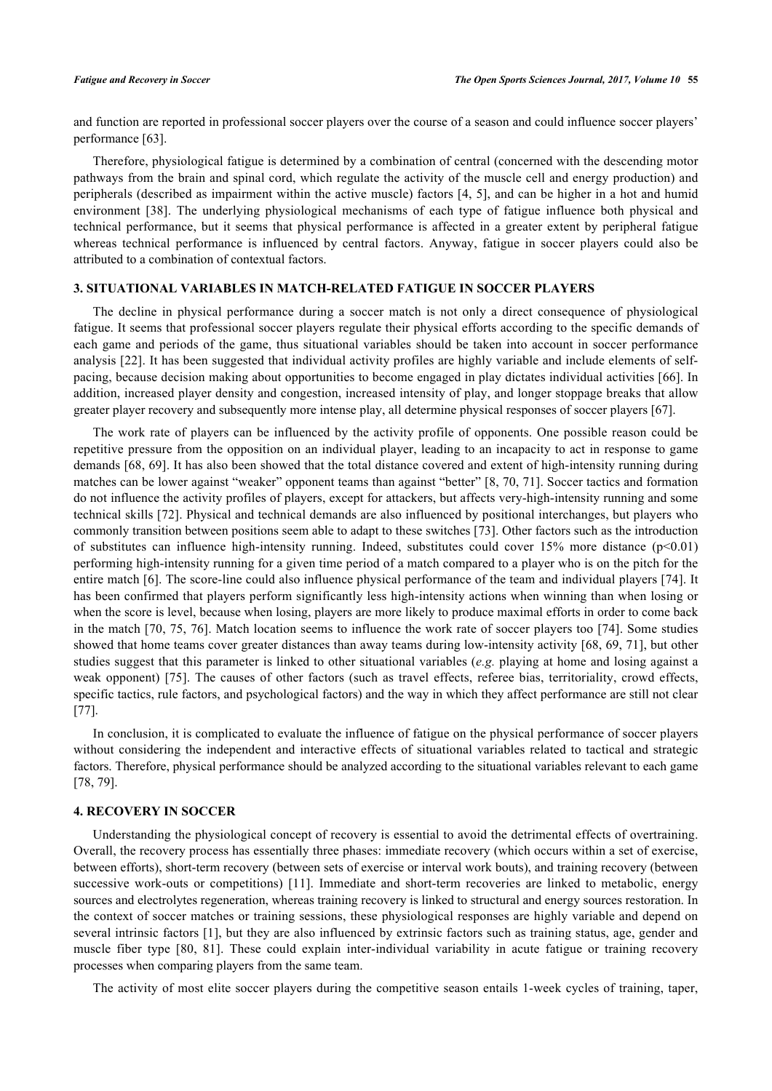and function are reported in professional soccer players over the course of a season and could influence soccer players' performance [\[63](#page-12-15)].

Therefore, physiological fatigue is determined by a combination of central (concerned with the descending motor pathways from the brain and spinal cord, which regulate the activity of the muscle cell and energy production) and peripherals (described as impairment within the active muscle) factors [\[4,](#page-10-1) [5](#page-10-2)], and can be higher in a hot and humid environment[[38](#page-11-14)]. The underlying physiological mechanisms of each type of fatigue influence both physical and technical performance, but it seems that physical performance is affected in a greater extent by peripheral fatigue whereas technical performance is influenced by central factors. Anyway, fatigue in soccer players could also be attributed to a combination of contextual factors.

# **3. SITUATIONAL VARIABLES IN MATCH-RELATED FATIGUE IN SOCCER PLAYERS**

The decline in physical performance during a soccer match is not only a direct consequence of physiological fatigue. It seems that professional soccer players regulate their physical efforts according to the specific demands of each game and periods of the game, thus situational variables should be taken into account in soccer performance analysis [\[22](#page-10-19)]. It has been suggested that individual activity profiles are highly variable and include elements of selfpacing, because decision making about opportunities to become engaged in play dictates individual activities [[66](#page-12-17)]. In addition, increased player density and congestion, increased intensity of play, and longer stoppage breaks that allow greater player recovery and subsequently more intense play, all determine physical responses of soccer players [\[67](#page-13-0)].

The work rate of players can be influenced by the activity profile of opponents. One possible reason could be repetitive pressure from the opposition on an individual player, leading to an incapacity to act in response to game demands [\[68](#page-13-1), [69\]](#page-13-2). It has also been showed that the total distance covered and extent of high-intensity running during matches can be lower against "weaker" opponent teams than against "better" [\[8](#page-10-4), [70,](#page-13-3) [71](#page-13-4)]. Soccer tactics and formation do not influence the activity profiles of players, except for attackers, but affects very-high-intensity running and some technical skills [[72\]](#page-13-5). Physical and technical demands are also influenced by positional interchanges, but players who commonly transition between positions seem able to adapt to these switches [[73\]](#page-13-6). Other factors such as the introduction of substitutes can influence high-intensity running. Indeed, substitutes could cover  $15\%$  more distance ( $p<0.01$ ) performing high-intensity running for a given time period of a match compared to a player who is on the pitch for the entire match [[6](#page-10-3)]. The score-line could also influence physical performance of the team and individual players [\[74\]](#page-13-7). It has been confirmed that players perform significantly less high-intensity actions when winning than when losing or when the score is level, because when losing, players are more likely to produce maximal efforts in order to come back in the match [\[70](#page-13-3), [75](#page-13-8), [76](#page-13-9)]. Match location seems to influence the work rate of soccer players too [\[74\]](#page-13-7). Some studies showed that home teams cover greater distances than away teams during low-intensity activity [[68,](#page-13-1) [69](#page-13-2), [71](#page-13-4)], but other studies suggest that this parameter is linked to other situational variables (*e.g.* playing at home and losing against a weak opponent) [[75\]](#page-13-8). The causes of other factors (such as travel effects, referee bias, territoriality, crowd effects, specific tactics, rule factors, and psychological factors) and the way in which they affect performance are still not clear [\[77](#page-13-10)].

In conclusion, it is complicated to evaluate the influence of fatigue on the physical performance of soccer players without considering the independent and interactive effects of situational variables related to tactical and strategic factors. Therefore, physical performance should be analyzed according to the situational variables relevant to each game [\[78](#page-13-11), [79](#page-13-12)].

# **4. RECOVERY IN SOCCER**

Understanding the physiological concept of recovery is essential to avoid the detrimental effects of overtraining. Overall, the recovery process has essentially three phases: immediate recovery (which occurs within a set of exercise, between efforts), short-term recovery (between sets of exercise or interval work bouts), and training recovery (between successive work-outs or competitions)[[11](#page-10-7)]. Immediate and short-term recoveries are linked to metabolic, energy sources and electrolytes regeneration, whereas training recovery is linked to structural and energy sources restoration. In the context of soccer matches or training sessions, these physiological responses are highly variable and depend on several intrinsic factors [[1](#page-9-0)], but they are also influenced by extrinsic factors such as training status, age, gender and muscle fiber type [\[80](#page-13-13), [81\]](#page-13-14). These could explain inter-individual variability in acute fatigue or training recovery processes when comparing players from the same team.

The activity of most elite soccer players during the competitive season entails 1-week cycles of training, taper,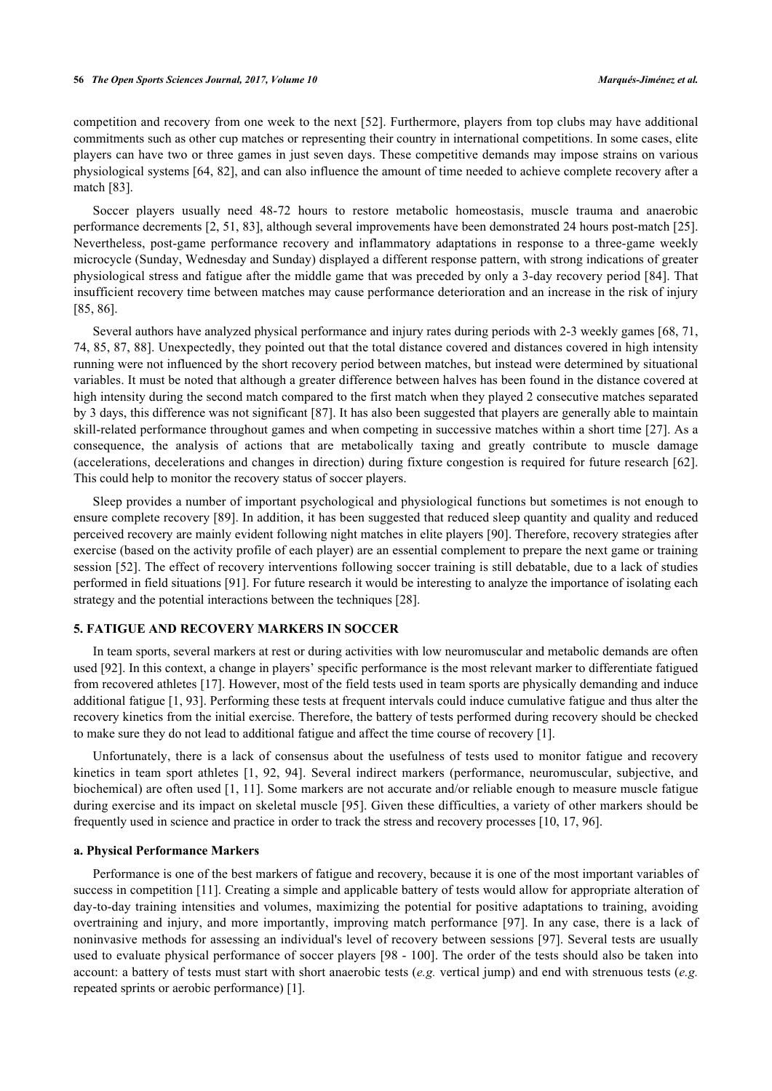competition and recovery from one week to the next [[52](#page-12-18)]. Furthermore, players from top clubs may have additional commitments such as other cup matches or representing their country in international competitions. In some cases, elite players can have two or three games in just seven days. These competitive demands may impose strains on various physiological systems [\[64](#page-12-19), [82\]](#page-13-15), and can also influence the amount of time needed to achieve complete recovery after a match [[83\]](#page-13-16).

Soccer players usually need 48-72 hours to restore metabolic homeostasis, muscle trauma and anaerobic performance decrements [[2,](#page-9-1) [51,](#page-12-4) [83](#page-13-16)], although several improvements have been demonstrated 24 hours post-match [[25\]](#page-11-1). Nevertheless, post-game performance recovery and inflammatory adaptations in response to a three-game weekly microcycle (Sunday, Wednesday and Sunday) displayed a different response pattern, with strong indications of greater physiological stress and fatigue after the middle game that was preceded by only a 3-day recovery period [[84\]](#page-13-17). That insufficient recovery time between matches may cause performance deterioration and an increase in the risk of injury [\[85](#page-13-18), [86](#page-13-19)].

Several authors have analyzed physical performance and injury rates during periods with 2-3 weekly games [[68,](#page-13-1) [71](#page-13-4), [74,](#page-13-7) [85](#page-13-18), [87,](#page-13-20) [88](#page-14-0)]. Unexpectedly, they pointed out that the total distance covered and distances covered in high intensity running were not influenced by the short recovery period between matches, but instead were determined by situational variables. It must be noted that although a greater difference between halves has been found in the distance covered at high intensity during the second match compared to the first match when they played 2 consecutive matches separated by 3 days, this difference was not significant [\[87](#page-13-20)]. It has also been suggested that players are generally able to maintain skill-related performance throughout games and when competing in successive matches within a short time [\[27](#page-11-3)]. As a consequence, the analysis of actions that are metabolically taxing and greatly contribute to muscle damage (accelerations, decelerations and changes in direction) during fixture congestion is required for future research [\[62\]](#page-12-14). This could help to monitor the recovery status of soccer players.

Sleep provides a number of important psychological and physiological functions but sometimes is not enough to ensure complete recovery [[89](#page-14-1)]. In addition, it has been suggested that reduced sleep quantity and quality and reduced perceived recovery are mainly evident following night matches in elite players [[90\]](#page-14-2). Therefore, recovery strategies after exercise (based on the activity profile of each player) are an essential complement to prepare the next game or training session [[52\]](#page-12-18). The effect of recovery interventions following soccer training is still debatable, due to a lack of studies performed in field situations [[91\]](#page-14-3). For future research it would be interesting to analyze the importance of isolating each strategy and the potential interactions between the techniques [\[28](#page-11-4)].

# **5. FATIGUE AND RECOVERY MARKERS IN SOCCER**

In team sports, several markers at rest or during activities with low neuromuscular and metabolic demands are often used [[92\]](#page-14-4). In this context, a change in players' specific performance is the most relevant marker to differentiate fatigued from recovered athletes [[17\]](#page-10-13). However, most of the field tests used in team sports are physically demanding and induce additional fatigue [\[1](#page-9-0), [93\]](#page-14-5). Performing these tests at frequent intervals could induce cumulative fatigue and thus alter the recovery kinetics from the initial exercise. Therefore, the battery of tests performed during recovery should be checked to make sure they do not lead to additional fatigue and affect the time course of recovery [\[1](#page-9-0)].

Unfortunately, there is a lack of consensus about the usefulness of tests used to monitor fatigue and recovery kinetics in team sport athletes [\[1,](#page-9-0) [92](#page-14-4), [94](#page-14-6)]. Several indirect markers (performance, neuromuscular, subjective, and biochemical) are often used [[1,](#page-9-0) [11](#page-10-7)]. Some markers are not accurate and/or reliable enough to measure muscle fatigue during exercise and its impact on skeletal muscle [[95](#page-14-7)]. Given these difficulties, a variety of other markers should be frequently used in science and practice in order to track the stress and recovery processes [\[10](#page-10-6), [17](#page-10-13), [96](#page-14-8)].

#### **a. Physical Performance Markers**

Performance is one of the best markers of fatigue and recovery, because it is one of the most important variables of success in competition [[11\]](#page-10-7). Creating a simple and applicable battery of tests would allow for appropriate alteration of day-to-day training intensities and volumes, maximizing the potential for positive adaptations to training, avoiding overtraining and injury, and more importantly, improving match performance [\[97](#page-14-9)]. In any case, there is a lack of noninvasive methods for assessing an individual's level of recovery between sessions [[97\]](#page-14-9). Several tests are usually used to evaluate physical performance of soccer players [[98](#page-14-10) - [100](#page-14-11)]. The order of the tests should also be taken into account: a battery of tests must start with short anaerobic tests (*e.g.* vertical jump) and end with strenuous tests (*e.g.* repeated sprints or aerobic performance) [[1\]](#page-9-0).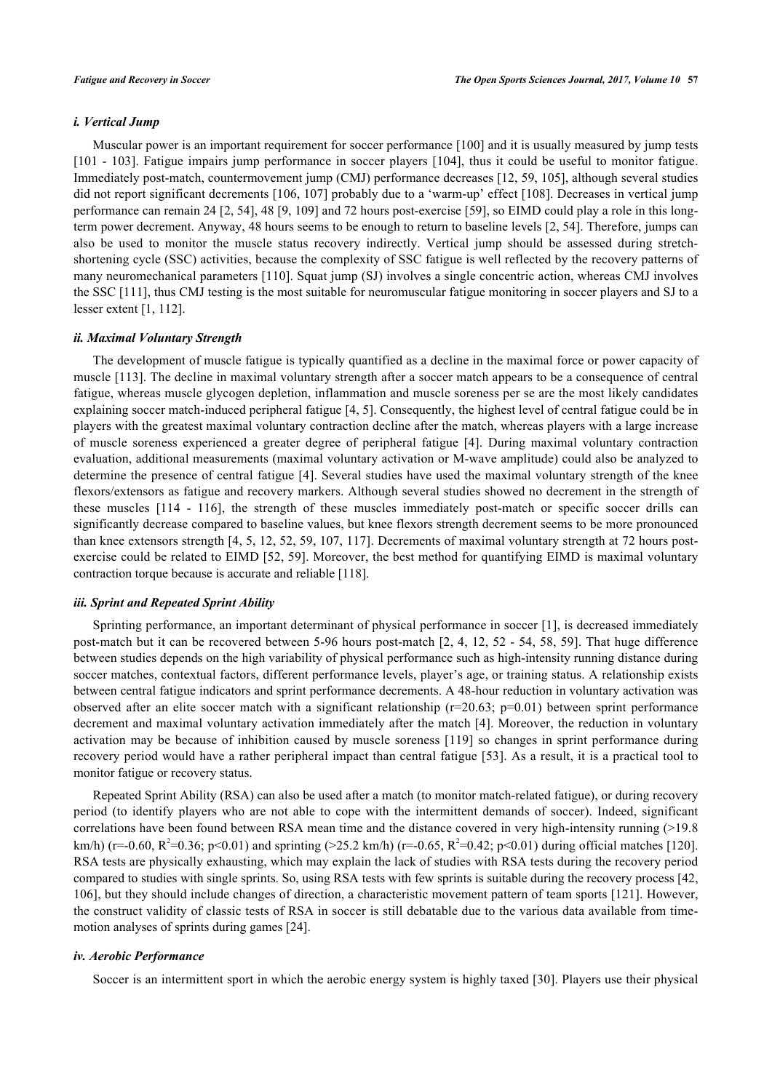#### *i. Vertical Jump*

Muscular power is an important requirement for soccer performance [\[100](#page-14-11)] and it is usually measured by jump tests [\[101](#page-14-12) - [103](#page-14-13)]. Fatigue impairs jump performance in soccer players [[104](#page-14-14)], thus it could be useful to monitor fatigue. Immediately post-match, countermovement jump (CMJ) performance decreases [[12,](#page-10-8) [59](#page-12-11), [105\]](#page-14-15), although several studies did not report significant decrements [[106,](#page-14-16) [107\]](#page-14-17) probably due to a 'warm-up' effect [[108\]](#page-14-18). Decreases in vertical jump performance can remain 24 [[2,](#page-9-1) [54](#page-12-10)], 48 [\[9](#page-10-5), [109\]](#page-14-19) and 72 hours post-exercise [[59\]](#page-12-11), so EIMD could play a role in this longterm power decrement. Anyway, 48 hours seems to be enough to return to baseline levels [[2,](#page-9-1) [54](#page-12-10)]. Therefore, jumps can also be used to monitor the muscle status recovery indirectly. Vertical jump should be assessed during stretchshortening cycle (SSC) activities, because the complexity of SSC fatigue is well reflected by the recovery patterns of many neuromechanical parameters [\[110](#page-15-0)]. Squat jump (SJ) involves a single concentric action, whereas CMJ involves the SSC [\[111](#page-15-1)], thus CMJ testing is the most suitable for neuromuscular fatigue monitoring in soccer players and SJ to a lesser extent [\[1](#page-9-0), [112](#page-15-2)].

# *ii. Maximal Voluntary Strength*

The development of muscle fatigue is typically quantified as a decline in the maximal force or power capacity of muscle [[113](#page-15-3)]. The decline in maximal voluntary strength after a soccer match appears to be a consequence of central fatigue, whereas muscle glycogen depletion, inflammation and muscle soreness per se are the most likely candidates explaining soccer match-induced peripheral fatigue [[4,](#page-10-1) [5\]](#page-10-2). Consequently, the highest level of central fatigue could be in players with the greatest maximal voluntary contraction decline after the match, whereas players with a large increase of muscle soreness experienced a greater degree of peripheral fatigue [\[4](#page-10-1)]. During maximal voluntary contraction evaluation, additional measurements (maximal voluntary activation or M-wave amplitude) could also be analyzed to determine the presence of central fatigue [[4\]](#page-10-1). Several studies have used the maximal voluntary strength of the knee flexors/extensors as fatigue and recovery markers. Although several studies showed no decrement in the strength of these muscles[[114](#page-15-4) - [116\]](#page-15-5), the strength of these muscles immediately post-match or specific soccer drills can significantly decrease compared to baseline values, but knee flexors strength decrement seems to be more pronounced than knee extensors strength [\[4](#page-10-1), [5,](#page-10-2) [12](#page-10-8), [52,](#page-12-18) [59](#page-12-11), [107,](#page-14-17) [117\]](#page-15-6). Decrements of maximal voluntary strength at 72 hours postexercise could be related to EIMD [\[52,](#page-12-18) [59](#page-12-11)]. Moreover, the best method for quantifying EIMD is maximal voluntary contraction torque because is accurate and reliable [\[118](#page-15-7)].

#### *iii. Sprint and Repeated Sprint Ability*

Sprinting performance, an important determinant of physical performance in soccer [\[1](#page-9-0)], is decreased immediately post-match but it can be recovered between 5-96 hours post-match [\[2](#page-9-1), [4](#page-10-1), [12](#page-10-8), [52](#page-12-18) - [54,](#page-12-10) [58,](#page-12-9) [59\]](#page-12-11). That huge difference between studies depends on the high variability of physical performance such as high-intensity running distance during soccer matches, contextual factors, different performance levels, player's age, or training status. A relationship exists between central fatigue indicators and sprint performance decrements. A 48-hour reduction in voluntary activation was observed after an elite soccer match with a significant relationship  $(r=20.63; p=0.01)$  between sprint performance decrement and maximal voluntary activation immediately after the match [[4\]](#page-10-1). Moreover, the reduction in voluntary activation may be because of inhibition caused by muscle soreness [\[119\]](#page-15-8) so changes in sprint performance during recovery period would have a rather peripheral impact than central fatigue [[53](#page-12-20)]. As a result, it is a practical tool to monitor fatigue or recovery status.

Repeated Sprint Ability (RSA) can also be used after a match (to monitor match-related fatigue), or during recovery period (to identify players who are not able to cope with the intermittent demands of soccer). Indeed, significant correlations have been found between RSA mean time and the distance covered in very high-intensity running (>19.8 km/h) (r=-0.60, R<sup>2</sup>=0.36; p<0.01) and sprinting (>25.2 km/h) (r=-0.65, R<sup>2</sup>=0.42; p<0.01) during official matches [[120\]](#page-15-9). RSA tests are physically exhausting, which may explain the lack of studies with RSA tests during the recovery period compared to studies with single sprints. So, using RSA tests with few sprints is suitable during the recovery process [[42](#page-11-18), [106\]](#page-14-16), but they should include changes of direction, a characteristic movement pattern of team sports [[121](#page-15-10)]. However, the construct validity of classic tests of RSA in soccer is still debatable due to the various data available from timemotion analyses of sprints during games [[24\]](#page-11-0).

# *iv. Aerobic Performance*

Soccer is an intermittent sport in which the aerobic energy system is highly taxed [\[30\]](#page-11-6). Players use their physical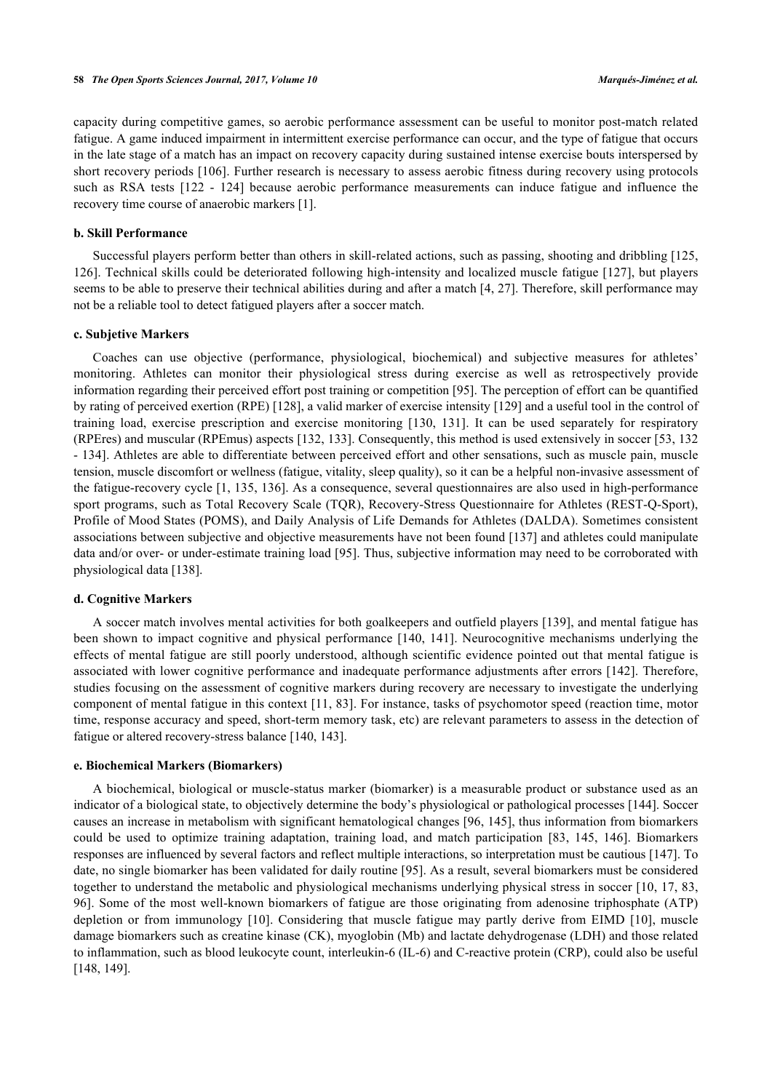capacity during competitive games, so aerobic performance assessment can be useful to monitor post-match related fatigue. A game induced impairment in intermittent exercise performance can occur, and the type of fatigue that occurs in the late stage of a match has an impact on recovery capacity during sustained intense exercise bouts interspersed by short recovery periods [[106](#page-14-16)]. Further research is necessary to assess aerobic fitness during recovery using protocols such as RSA tests [\[122](#page-15-11) - [124\]](#page-15-12) because aerobic performance measurements can induce fatigue and influence the recovery time course of anaerobic markers [\[1](#page-9-0)].

#### **b. Skill Performance**

Successful players perform better than others in skill-related actions, such as passing, shooting and dribbling [[125](#page-15-13), [126\]](#page-15-14). Technical skills could be deteriorated following high-intensity and localized muscle fatigue [\[127\]](#page-15-15), but players seems to be able to preserve their technical abilities during and after a match [[4,](#page-10-1) [27](#page-11-3)]. Therefore, skill performance may not be a reliable tool to detect fatigued players after a soccer match.

#### **c. Subjetive Markers**

Coaches can use objective (performance, physiological, biochemical) and subjective measures for athletes' monitoring. Athletes can monitor their physiological stress during exercise as well as retrospectively provide information regarding their perceived effort post training or competition [\[95](#page-14-7)]. The perception of effort can be quantified by rating of perceived exertion (RPE) [[128\]](#page-15-16), a valid marker of exercise intensity [\[129](#page-15-17)] and a useful tool in the control of training load, exercise prescription and exercise monitoring [\[130,](#page-15-18) [131\]](#page-16-0). It can be used separately for respiratory (RPEres) and muscular (RPEmus) aspects [[132,](#page-16-1) [133\]](#page-16-2). Consequently, this method is used extensively in soccer [\[53](#page-12-20), [132](#page-16-1) - [134\]](#page-16-3). Athletes are able to differentiate between perceived effort and other sensations, such as muscle pain, muscle tension, muscle discomfort or wellness (fatigue, vitality, sleep quality), so it can be a helpful non-invasive assessment of the fatigue-recovery cycle [\[1](#page-9-0), [135](#page-16-4), [136\]](#page-16-5). As a consequence, several questionnaires are also used in high-performance sport programs, such as Total Recovery Scale (TQR), Recovery-Stress Questionnaire for Athletes (REST-Q-Sport), Profile of Mood States (POMS), and Daily Analysis of Life Demands for Athletes (DALDA). Sometimes consistent associations between subjective and objective measurements have not been found [[137](#page-16-6)] and athletes could manipulate data and/or over- or under-estimate training load [[95\]](#page-14-7). Thus, subjective information may need to be corroborated with physiological data [[138\]](#page-16-7).

#### **d. Cognitive Markers**

A soccer match involves mental activities for both goalkeepers and outfield players [[139\]](#page-16-8), and mental fatigue has been shown to impact cognitive and physical performance [[140](#page-16-9), [141\]](#page-16-10). Neurocognitive mechanisms underlying the effects of mental fatigue are still poorly understood, although scientific evidence pointed out that mental fatigue is associated with lower cognitive performance and inadequate performance adjustments after errors [\[142\]](#page-16-11). Therefore, studies focusing on the assessment of cognitive markers during recovery are necessary to investigate the underlying component of mental fatigue in this context [\[11,](#page-10-7) [83](#page-13-16)]. For instance, tasks of psychomotor speed (reaction time, motor time, response accuracy and speed, short-term memory task, etc) are relevant parameters to assess in the detection of fatigue or altered recovery-stress balance [[140,](#page-16-9) [143\]](#page-16-12).

#### **e. Biochemical Markers (Biomarkers)**

A biochemical, biological or muscle-status marker (biomarker) is a measurable product or substance used as an indicator of a biological state, to objectively determine the body's physiological or pathological processes [[144\]](#page-16-13). Soccer causes an increase in metabolism with significant hematological changes [[96,](#page-14-8) [145](#page-16-14)], thus information from biomarkers could be used to optimize training adaptation, training load, and match participation [\[83,](#page-13-16) [145,](#page-16-14) [146\]](#page-16-15). Biomarkers responses are influenced by several factors and reflect multiple interactions, so interpretation must be cautious [\[147](#page-16-16)]. To date, no single biomarker has been validated for daily routine [[95](#page-14-7)]. As a result, several biomarkers must be considered together to understand the metabolic and physiological mechanisms underlying physical stress in soccer [\[10](#page-10-6), [17](#page-10-13), [83](#page-13-16), [96\]](#page-14-8). Some of the most well-known biomarkers of fatigue are those originating from adenosine triphosphate (ATP) depletion or from immunology[[10\]](#page-10-6). Considering that muscle fatigue may partly derive from EIMD[[10\]](#page-10-6), muscle damage biomarkers such as creatine kinase (CK), myoglobin (Mb) and lactate dehydrogenase (LDH) and those related to inflammation, such as blood leukocyte count, interleukin-6 (IL-6) and C-reactive protein (CRP), could also be useful [\[148](#page-16-17), [149](#page-16-18)].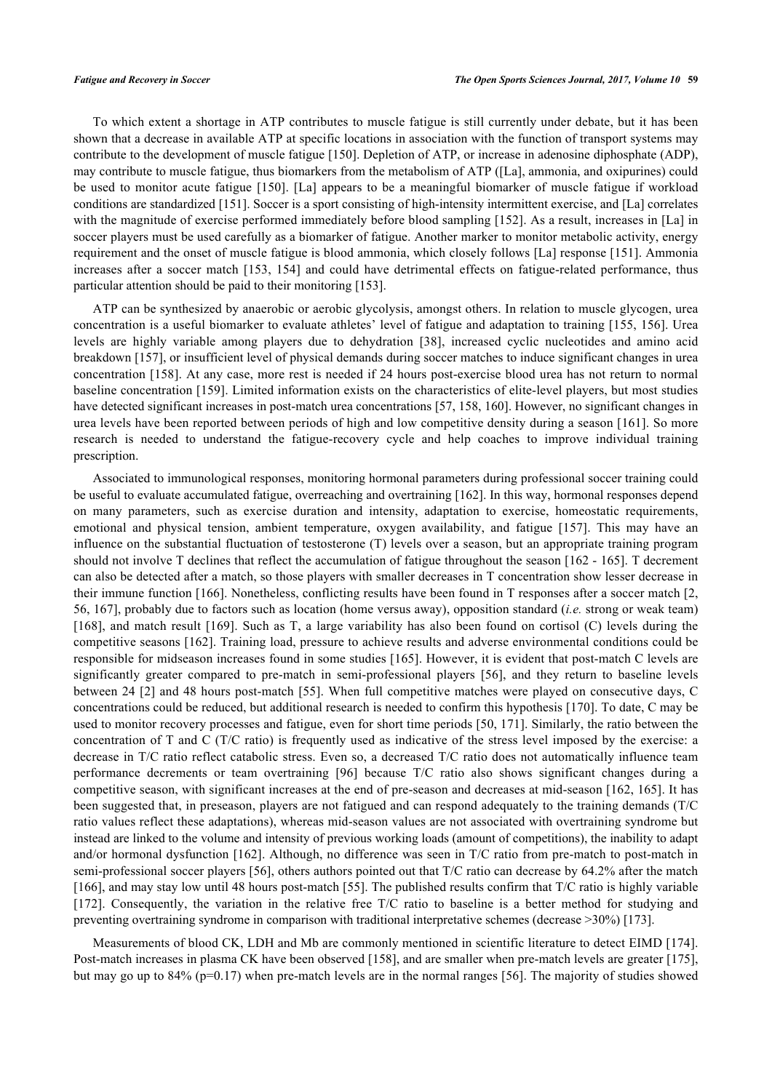To which extent a shortage in ATP contributes to muscle fatigue is still currently under debate, but it has been shown that a decrease in available ATP at specific locations in association with the function of transport systems may contribute to the development of muscle fatigue [[150\]](#page-16-19). Depletion of ATP, or increase in adenosine diphosphate (ADP), may contribute to muscle fatigue, thus biomarkers from the metabolism of ATP ([La], ammonia, and oxipurines) could be used to monitor acute fatigue [[150\]](#page-16-19). [La] appears to be a meaningful biomarker of muscle fatigue if workload conditions are standardized [\[151](#page-16-20)]. Soccer is a sport consisting of high-intensity intermittent exercise, and [La] correlates with the magnitude of exercise performed immediately before blood sampling [[152](#page-17-0)]. As a result, increases in [La] in soccer players must be used carefully as a biomarker of fatigue. Another marker to monitor metabolic activity, energy requirement and the onset of muscle fatigue is blood ammonia, which closely follows [La] response [[151](#page-16-20)]. Ammonia increases after a soccer match [\[153,](#page-17-1) [154](#page-17-2)] and could have detrimental effects on fatigue-related performance, thus particular attention should be paid to their monitoring [\[153](#page-17-1)].

ATP can be synthesized by anaerobic or aerobic glycolysis, amongst others. In relation to muscle glycogen, urea concentration is a useful biomarker to evaluate athletes' level of fatigue and adaptation to training [\[155,](#page-17-3) [156\]](#page-17-4). Urea levels are highly variable among players due to dehydration[[38](#page-11-14)], increased cyclic nucleotides and amino acid breakdown [\[157](#page-17-5)], or insufficient level of physical demands during soccer matches to induce significant changes in urea concentration [\[158](#page-17-6)]. At any case, more rest is needed if 24 hours post-exercise blood urea has not return to normal baseline concentration [[159](#page-17-7)]. Limited information exists on the characteristics of elite-level players, but most studies have detected significant increases in post-match urea concentrations [[57,](#page-12-8) [158,](#page-17-6) [160\]](#page-17-8). However, no significant changes in urea levels have been reported between periods of high and low competitive density during a season [[161\]](#page-17-9). So more research is needed to understand the fatigue-recovery cycle and help coaches to improve individual training prescription.

Associated to immunological responses, monitoring hormonal parameters during professional soccer training could be useful to evaluate accumulated fatigue, overreaching and overtraining [\[162](#page-17-10)]. In this way, hormonal responses depend on many parameters, such as exercise duration and intensity, adaptation to exercise, homeostatic requirements, emotional and physical tension, ambient temperature, oxygen availability, and fatigue [\[157\]](#page-17-5). This may have an influence on the substantial fluctuation of testosterone (T) levels over a season, but an appropriate training program should not involve T declines that reflect the accumulation of fatigue throughout the season [[162](#page-17-10) - [165\]](#page-17-11). T decrement can also be detected after a match, so those players with smaller decreases in T concentration show lesser decrease in their immune function [\[166\]](#page-17-12). Nonetheless, conflicting results have been found in T responses after a soccer match [[2](#page-9-1), [56,](#page-12-6) [167](#page-17-13)], probably due to factors such as location (home versus away), opposition standard (*i.e.* strong or weak team) [\[168](#page-17-14)], and match result [\[169](#page-17-15)]. Such as T, a large variability has also been found on cortisol (C) levels during the competitive seasons [[162\]](#page-17-10). Training load, pressure to achieve results and adverse environmental conditions could be responsible for midseason increases found in some studies [\[165\]](#page-17-11). However, it is evident that post-match C levels are significantly greater compared to pre-match in semi-professional players [\[56\]](#page-12-6), and they return to baseline levels between 24 [\[2](#page-9-1)] and 48 hours post-match [[55\]](#page-12-7). When full competitive matches were played on consecutive days, C concentrations could be reduced, but additional research is needed to confirm this hypothesis [[170](#page-17-16)]. To date, C may be used to monitor recovery processes and fatigue, even for short time periods [[50,](#page-12-5) [171](#page-17-17)]. Similarly, the ratio between the concentration of T and C (T/C ratio) is frequently used as indicative of the stress level imposed by the exercise: a decrease in T/C ratio reflect catabolic stress. Even so, a decreased T/C ratio does not automatically influence team performance decrements or team overtraining [\[96\]](#page-14-8) because T/C ratio also shows significant changes during a competitive season, with significant increases at the end of pre-season and decreases at mid-season [[162](#page-17-10), [165](#page-17-11)]. It has been suggested that, in preseason, players are not fatigued and can respond adequately to the training demands (T/C ratio values reflect these adaptations), whereas mid-season values are not associated with overtraining syndrome but instead are linked to the volume and intensity of previous working loads (amount of competitions), the inability to adapt and/or hormonal dysfunction [\[162\]](#page-17-10). Although, no difference was seen in T/C ratio from pre-match to post-match in semi-professional soccer players [[56\]](#page-12-6), others authors pointed out that T/C ratio can decrease by 64.2% after the match [\[166](#page-17-12)], and may stay low until 48 hours post-match [[55\]](#page-12-7). The published results confirm that T/C ratio is highly variable [\[172](#page-17-18)]. Consequently, the variation in the relative free T/C ratio to baseline is a better method for studying and preventing overtraining syndrome in comparison with traditional interpretative schemes (decrease >30%) [\[173](#page-17-19)].

Measurements of blood CK, LDH and Mb are commonly mentioned in scientific literature to detect EIMD [\[174\]](#page-17-20). Post-match increases in plasma CK have been observed [\[158](#page-17-6)], and are smaller when pre-match levels are greater [[175\]](#page-18-0), but may go up to 84% (p=0.17) when pre-match levels are in the normal ranges [\[56](#page-12-6)]. The majority of studies showed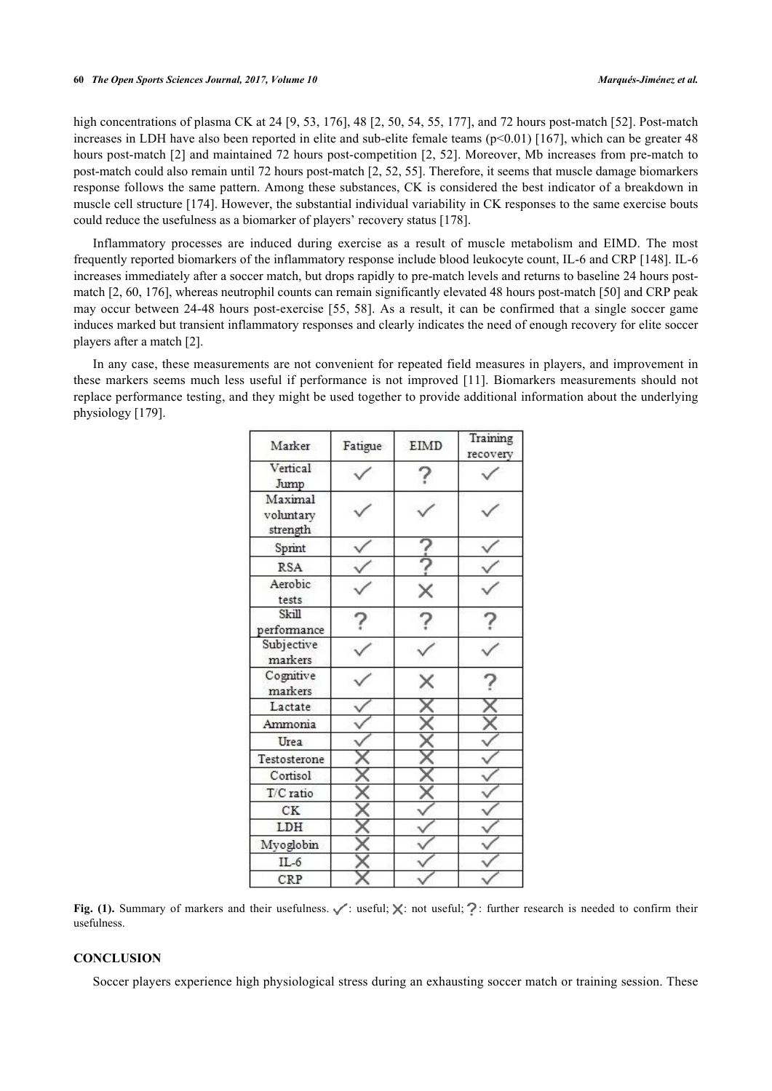high concentrations of plasma CK at 24 [[9,](#page-10-5) [53](#page-12-20), [176](#page-18-1)], 48 [[2](#page-9-1), [50](#page-12-5), [54,](#page-12-10) [55,](#page-12-7) [177](#page-18-2)], and 72 hours post-match [[52\]](#page-12-18). Post-match increases in LDH have also been reported in elite and sub-elite female teams (p<0.01) [\[167\]](#page-17-13), which can be greater 48 hours post-match [[2\]](#page-9-1) and maintained 72 hours post-competition [\[2,](#page-9-1) [52\]](#page-12-18). Moreover, Mb increases from pre-match to post-match could also remain until 72 hours post-match [\[2](#page-9-1), [52](#page-12-18), [55](#page-12-7)]. Therefore, it seems that muscle damage biomarkers response follows the same pattern. Among these substances, CK is considered the best indicator of a breakdown in muscle cell structure [[174](#page-17-20)]. However, the substantial individual variability in CK responses to the same exercise bouts could reduce the usefulness as a biomarker of players' recovery status [\[178](#page-18-3)].

Inflammatory processes are induced during exercise as a result of muscle metabolism and EIMD. The most frequently reported biomarkers of the inflammatory response include blood leukocyte count, IL-6 and CRP [[148](#page-16-17)]. IL-6 increases immediately after a soccer match, but drops rapidly to pre-match levels and returns to baseline 24 hours postmatch [[2,](#page-9-1) [60,](#page-12-12) [176\]](#page-18-1), whereas neutrophil counts can remain significantly elevated 48 hours post-match [\[50](#page-12-5)] and CRP peak may occur between 24-48 hours post-exercise [[55](#page-12-7), [58](#page-12-9)]. As a result, it can be confirmed that a single soccer game induces marked but transient inflammatory responses and clearly indicates the need of enough recovery for elite soccer players after a match [\[2](#page-9-1)].

In any case, these measurements are not convenient for repeated field measures in players, and improvement in these markers seems much less useful if performance is not improved [[11](#page-10-7)]. Biomarkers measurements should not replace performance testing, and they might be used together to provide additional information about the underlying physiology [[179\]](#page-18-4).

| Marker                           | Fatigue | EIMD | Training<br>recovery |
|----------------------------------|---------|------|----------------------|
| Vertical<br>Jump                 |         |      |                      |
| Maximal<br>voluntary<br>strength |         |      |                      |
| Sprint                           |         |      |                      |
| <b>RSA</b>                       |         |      |                      |
| Aerobic<br>tests                 |         | ×    |                      |
| Skill<br>performance             |         |      |                      |
| Subjective<br>markers            |         |      |                      |
| Cognitive<br>markers             |         |      |                      |
| Lactate                          |         |      |                      |
| Ammonia                          |         |      |                      |
| Urea                             |         |      |                      |
| Testosterone                     |         |      |                      |
| Cortisol                         |         |      |                      |
| T/C ratio                        |         |      |                      |
| CK                               |         |      |                      |
| LDH                              |         |      |                      |
| Myoglobin                        |         |      |                      |
| $IL-6$                           |         |      |                      |
| CRP                              |         |      |                      |

Fig. (1). Summary of markers and their usefulness.  $\checkmark$  : useful;  $\checkmark$  : not useful; ?: further research is needed to confirm their usefulness.

# **CONCLUSION**

Soccer players experience high physiological stress during an exhausting soccer match or training session. These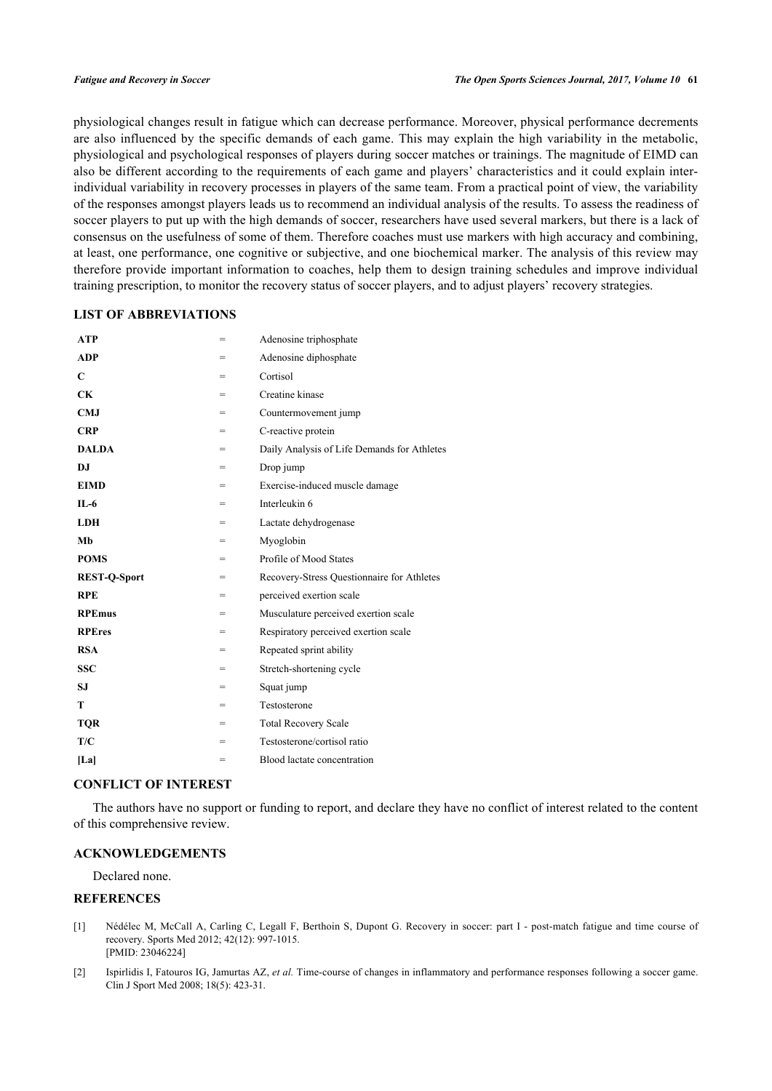physiological changes result in fatigue which can decrease performance. Moreover, physical performance decrements are also influenced by the specific demands of each game. This may explain the high variability in the metabolic, physiological and psychological responses of players during soccer matches or trainings. The magnitude of EIMD can also be different according to the requirements of each game and players' characteristics and it could explain interindividual variability in recovery processes in players of the same team. From a practical point of view, the variability of the responses amongst players leads us to recommend an individual analysis of the results. To assess the readiness of soccer players to put up with the high demands of soccer, researchers have used several markers, but there is a lack of consensus on the usefulness of some of them. Therefore coaches must use markers with high accuracy and combining, at least, one performance, one cognitive or subjective, and one biochemical marker. The analysis of this review may therefore provide important information to coaches, help them to design training schedules and improve individual training prescription, to monitor the recovery status of soccer players, and to adjust players' recovery strategies.

# **LIST OF ABBREVIATIONS**

| <b>ATP</b>          | $=$ | Adenosine triphosphate                      |
|---------------------|-----|---------------------------------------------|
| <b>ADP</b>          | $=$ | Adenosine diphosphate                       |
| $\mathbf C$         | =   | Cortisol                                    |
| <b>CK</b>           | $=$ | Creatine kinase                             |
| <b>CMJ</b>          | $=$ | Countermovement jump                        |
| <b>CRP</b>          | =   | C-reactive protein                          |
| <b>DALDA</b>        | $=$ | Daily Analysis of Life Demands for Athletes |
| D.I                 | $=$ | Drop jump                                   |
| <b>EIMD</b>         | $=$ | Exercise-induced muscle damage              |
| $IL-6$              | =   | Interleukin 6                               |
| <b>LDH</b>          | $=$ | Lactate dehydrogenase                       |
| Mb                  | $=$ | Myoglobin                                   |
| <b>POMS</b>         | $=$ | Profile of Mood States                      |
| <b>REST-Q-Sport</b> | $=$ | Recovery-Stress Questionnaire for Athletes  |
| <b>RPE</b>          | $=$ | perceived exertion scale                    |
| <b>RPEmus</b>       | $=$ | Musculature perceived exertion scale        |
| <b>RPEres</b>       | $=$ | Respiratory perceived exertion scale        |
| <b>RSA</b>          | $=$ | Repeated sprint ability                     |
| <b>SSC</b>          | $=$ | Stretch-shortening cycle                    |
| <b>SJ</b>           | $=$ | Squat jump                                  |
| T                   | $=$ | Testosterone                                |
| <b>TQR</b>          | $=$ | <b>Total Recovery Scale</b>                 |
| T/C                 | =   | Testosterone/cortisol ratio                 |
| [La]                | =   | Blood lactate concentration                 |

#### **CONFLICT OF INTEREST**

The authors have no support or funding to report, and declare they have no conflict of interest related to the content of this comprehensive review.

# **ACKNOWLEDGEMENTS**

Declared none.

# **REFERENCES**

- <span id="page-9-0"></span>[1] Nédélec M, McCall A, Carling C, Legall F, Berthoin S, Dupont G. Recovery in soccer: part I - post-match fatigue and time course of recovery. Sports Med 2012; 42(12): 997-1015. [PMID: [23046224\]](http://www.ncbi.nlm.nih.gov/pubmed/23046224)
- <span id="page-9-1"></span>[2] Ispirlidis I, Fatouros IG, Jamurtas AZ, *et al.* Time-course of changes in inflammatory and performance responses following a soccer game. Clin J Sport Med 2008; 18(5): 423-31.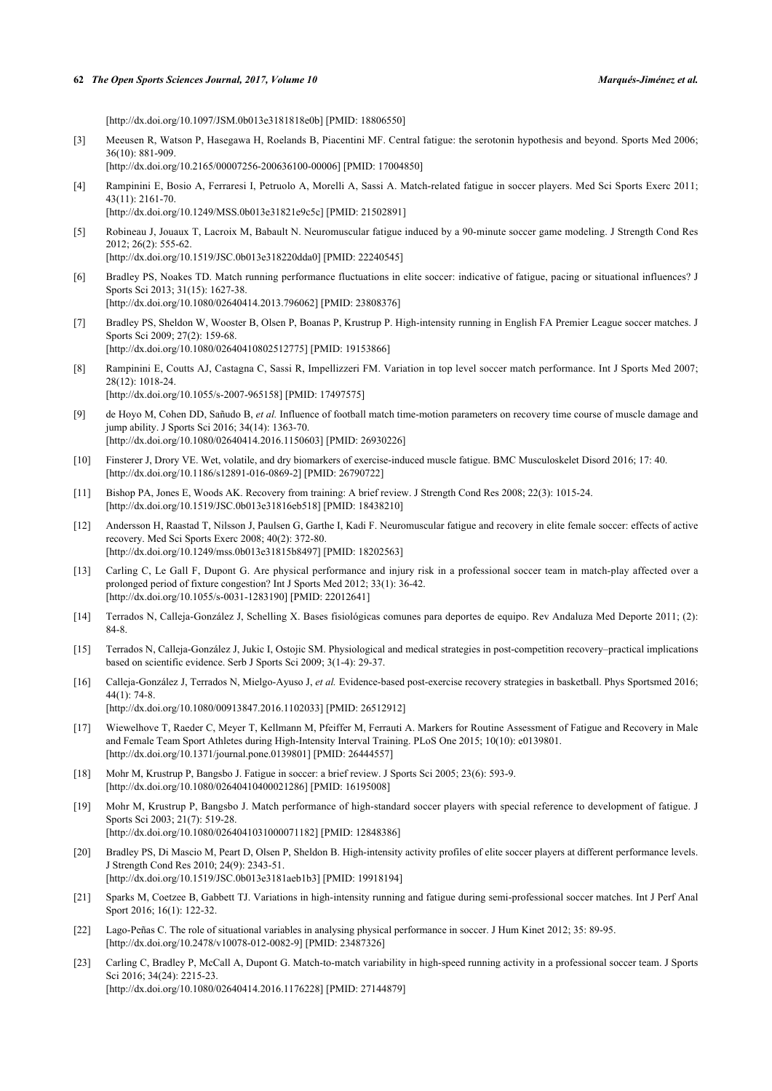[\[http://dx.doi.org/10.1097/JSM.0b013e3181818e0b\]](http://dx.doi.org/10.1097/JSM.0b013e3181818e0b) [PMID: [18806550](http://www.ncbi.nlm.nih.gov/pubmed/18806550)]

- <span id="page-10-0"></span>[3] Meeusen R, Watson P, Hasegawa H, Roelands B, Piacentini MF. Central fatigue: the serotonin hypothesis and beyond. Sports Med 2006; 36(10): 881-909. [\[http://dx.doi.org/10.2165/00007256-200636100-00006](http://dx.doi.org/10.2165/00007256-200636100-00006)] [PMID: [17004850\]](http://www.ncbi.nlm.nih.gov/pubmed/17004850)
- <span id="page-10-1"></span>[4] Rampinini E, Bosio A, Ferraresi I, Petruolo A, Morelli A, Sassi A. Match-related fatigue in soccer players. Med Sci Sports Exerc 2011; 43(11): 2161-70.
	- [\[http://dx.doi.org/10.1249/MSS.0b013e31821e9c5c](http://dx.doi.org/10.1249/MSS.0b013e31821e9c5c)] [PMID: [21502891\]](http://www.ncbi.nlm.nih.gov/pubmed/21502891)
- <span id="page-10-2"></span>[5] Robineau J, Jouaux T, Lacroix M, Babault N. Neuromuscular fatigue induced by a 90-minute soccer game modeling. J Strength Cond Res 2012; 26(2): 555-62. [\[http://dx.doi.org/10.1519/JSC.0b013e318220dda0\]](http://dx.doi.org/10.1519/JSC.0b013e318220dda0) [PMID: [22240545](http://www.ncbi.nlm.nih.gov/pubmed/22240545)]
- <span id="page-10-3"></span>[6] Bradley PS, Noakes TD. Match running performance fluctuations in elite soccer: indicative of fatigue, pacing or situational influences? J Sports Sci 2013; 31(15): 1627-38. [\[http://dx.doi.org/10.1080/02640414.2013.796062\]](http://dx.doi.org/10.1080/02640414.2013.796062) [PMID: [23808376](http://www.ncbi.nlm.nih.gov/pubmed/23808376)]
- <span id="page-10-17"></span>[7] Bradley PS, Sheldon W, Wooster B, Olsen P, Boanas P, Krustrup P. High-intensity running in English FA Premier League soccer matches. J Sports Sci 2009; 27(2): 159-68. [\[http://dx.doi.org/10.1080/02640410802512775\]](http://dx.doi.org/10.1080/02640410802512775) [PMID: [19153866](http://www.ncbi.nlm.nih.gov/pubmed/19153866)]
- <span id="page-10-4"></span>[8] Rampinini E, Coutts AJ, Castagna C, Sassi R, Impellizzeri FM. Variation in top level soccer match performance. Int J Sports Med 2007; 28(12): 1018-24. [\[http://dx.doi.org/10.1055/s-2007-965158](http://dx.doi.org/10.1055/s-2007-965158)] [PMID: [17497575\]](http://www.ncbi.nlm.nih.gov/pubmed/17497575)
- <span id="page-10-5"></span>[9] de Hoyo M, Cohen DD, Sañudo B, *et al.* Influence of football match time-motion parameters on recovery time course of muscle damage and jump ability. J Sports Sci 2016; 34(14): 1363-70. [\[http://dx.doi.org/10.1080/02640414.2016.1150603\]](http://dx.doi.org/10.1080/02640414.2016.1150603) [PMID: [26930226](http://www.ncbi.nlm.nih.gov/pubmed/26930226)]
- <span id="page-10-6"></span>[10] Finsterer J, Drory VE. Wet, volatile, and dry biomarkers of exercise-induced muscle fatigue. BMC Musculoskelet Disord 2016; 17: 40. [\[http://dx.doi.org/10.1186/s12891-016-0869-2\]](http://dx.doi.org/10.1186/s12891-016-0869-2) [PMID: [26790722](http://www.ncbi.nlm.nih.gov/pubmed/26790722)]
- <span id="page-10-7"></span>[11] Bishop PA, Jones E, Woods AK. Recovery from training: A brief review. J Strength Cond Res 2008; 22(3): 1015-24. [\[http://dx.doi.org/10.1519/JSC.0b013e31816eb518\]](http://dx.doi.org/10.1519/JSC.0b013e31816eb518) [PMID: [18438210](http://www.ncbi.nlm.nih.gov/pubmed/18438210)]
- <span id="page-10-8"></span>[12] Andersson H, Raastad T, Nilsson J, Paulsen G, Garthe I, Kadi F. Neuromuscular fatigue and recovery in elite female soccer: effects of active recovery. Med Sci Sports Exerc 2008; 40(2): 372-80. [\[http://dx.doi.org/10.1249/mss.0b013e31815b8497\]](http://dx.doi.org/10.1249/mss.0b013e31815b8497) [PMID: [18202563](http://www.ncbi.nlm.nih.gov/pubmed/18202563)]
- <span id="page-10-9"></span>[13] Carling C, Le Gall F, Dupont G. Are physical performance and injury risk in a professional soccer team in match-play affected over a prolonged period of fixture congestion? Int J Sports Med 2012; 33(1): 36-42. [\[http://dx.doi.org/10.1055/s-0031-1283190](http://dx.doi.org/10.1055/s-0031-1283190)] [PMID: [22012641\]](http://www.ncbi.nlm.nih.gov/pubmed/22012641)
- <span id="page-10-10"></span>[14] Terrados N, Calleja-González J, Schelling X. Bases fisiológicas comunes para deportes de equipo. Rev Andaluza Med Deporte 2011; (2): 84-8.
- <span id="page-10-11"></span>[15] Terrados N, Calleja-González J, Jukic I, Ostojic SM. Physiological and medical strategies in post-competition recovery–practical implications based on scientific evidence. Serb J Sports Sci 2009; 3(1-4): 29-37.
- <span id="page-10-12"></span>[16] Calleja-González J, Terrados N, Mielgo-Ayuso J, *et al.* Evidence-based post-exercise recovery strategies in basketball. Phys Sportsmed 2016; 44(1): 74-8. [\[http://dx.doi.org/10.1080/00913847.2016.1102033\]](http://dx.doi.org/10.1080/00913847.2016.1102033) [PMID: [26512912](http://www.ncbi.nlm.nih.gov/pubmed/26512912)]
- <span id="page-10-13"></span>[17] Wiewelhove T, Raeder C, Meyer T, Kellmann M, Pfeiffer M, Ferrauti A. Markers for Routine Assessment of Fatigue and Recovery in Male and Female Team Sport Athletes during High-Intensity Interval Training. PLoS One 2015; 10(10): e0139801. [\[http://dx.doi.org/10.1371/journal.pone.0139801](http://dx.doi.org/10.1371/journal.pone.0139801)] [PMID: [26444557\]](http://www.ncbi.nlm.nih.gov/pubmed/26444557)
- <span id="page-10-14"></span>[18] Mohr M, Krustrup P, Bangsbo J. Fatigue in soccer: a brief review. J Sports Sci 2005; 23(6): 593-9. [\[http://dx.doi.org/10.1080/02640410400021286\]](http://dx.doi.org/10.1080/02640410400021286) [PMID: [16195008](http://www.ncbi.nlm.nih.gov/pubmed/16195008)]
- <span id="page-10-15"></span>[19] Mohr M, Krustrup P, Bangsbo J. Match performance of high-standard soccer players with special reference to development of fatigue. J Sports Sci 2003; 21(7): 519-28. [\[http://dx.doi.org/10.1080/0264041031000071182\]](http://dx.doi.org/10.1080/0264041031000071182) [PMID: [12848386](http://www.ncbi.nlm.nih.gov/pubmed/12848386)]
- <span id="page-10-16"></span>[20] Bradley PS, Di Mascio M, Peart D, Olsen P, Sheldon B. High-intensity activity profiles of elite soccer players at different performance levels. J Strength Cond Res 2010; 24(9): 2343-51. [\[http://dx.doi.org/10.1519/JSC.0b013e3181aeb1b3](http://dx.doi.org/10.1519/JSC.0b013e3181aeb1b3)] [PMID: [19918194\]](http://www.ncbi.nlm.nih.gov/pubmed/19918194)
- <span id="page-10-18"></span>[21] Sparks M, Coetzee B, Gabbett TJ. Variations in high-intensity running and fatigue during semi-professional soccer matches. Int J Perf Anal Sport 2016; 16(1): 122-32.
- <span id="page-10-19"></span>[22] Lago-Peñas C. The role of situational variables in analysing physical performance in soccer. J Hum Kinet 2012; 35: 89-95. [\[http://dx.doi.org/10.2478/v10078-012-0082-9\]](http://dx.doi.org/10.2478/v10078-012-0082-9) [PMID: [23487326](http://www.ncbi.nlm.nih.gov/pubmed/23487326)]
- <span id="page-10-20"></span>[23] Carling C, Bradley P, McCall A, Dupont G. Match-to-match variability in high-speed running activity in a professional soccer team. J Sports Sci 2016: 34(24): 2215-23. [\[http://dx.doi.org/10.1080/02640414.2016.1176228\]](http://dx.doi.org/10.1080/02640414.2016.1176228) [PMID: [27144879](http://www.ncbi.nlm.nih.gov/pubmed/27144879)]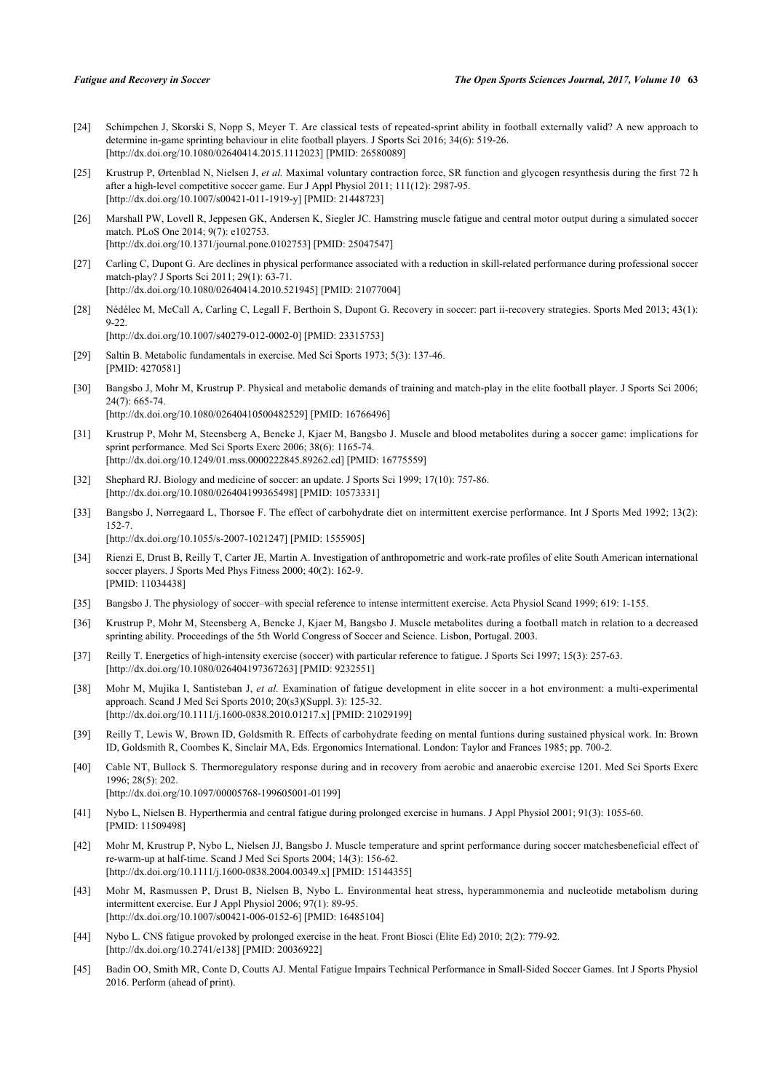- <span id="page-11-0"></span>[24] Schimpchen J, Skorski S, Nopp S, Meyer T. Are classical tests of repeated-sprint ability in football externally valid? A new approach to determine in-game sprinting behaviour in elite football players. J Sports Sci 2016; 34(6): 519-26. [\[http://dx.doi.org/10.1080/02640414.2015.1112023\]](http://dx.doi.org/10.1080/02640414.2015.1112023) [PMID: [26580089](http://www.ncbi.nlm.nih.gov/pubmed/26580089)]
- <span id="page-11-1"></span>[25] Krustrup P, Ørtenblad N, Nielsen J, *et al.* Maximal voluntary contraction force, SR function and glycogen resynthesis during the first 72 h after a high-level competitive soccer game. Eur J Appl Physiol 2011; 111(12): 2987-95. [\[http://dx.doi.org/10.1007/s00421-011-1919-y\]](http://dx.doi.org/10.1007/s00421-011-1919-y) [PMID: [21448723](http://www.ncbi.nlm.nih.gov/pubmed/21448723)]
- <span id="page-11-2"></span>[26] Marshall PW, Lovell R, Jeppesen GK, Andersen K, Siegler JC. Hamstring muscle fatigue and central motor output during a simulated soccer match. PLoS One 2014; 9(7): e102753. [\[http://dx.doi.org/10.1371/journal.pone.0102753](http://dx.doi.org/10.1371/journal.pone.0102753)] [PMID: [25047547\]](http://www.ncbi.nlm.nih.gov/pubmed/25047547)
- <span id="page-11-3"></span>[27] Carling C, Dupont G. Are declines in physical performance associated with a reduction in skill-related performance during professional soccer match-play? J Sports Sci 2011; 29(1): 63-71. [\[http://dx.doi.org/10.1080/02640414.2010.521945\]](http://dx.doi.org/10.1080/02640414.2010.521945) [PMID: [21077004](http://www.ncbi.nlm.nih.gov/pubmed/21077004)]
- <span id="page-11-4"></span>[28] Nédélec M, McCall A, Carling C, Legall F, Berthoin S, Dupont G. Recovery in soccer: part ii-recovery strategies. Sports Med 2013; 43(1): 9-22. [\[http://dx.doi.org/10.1007/s40279-012-0002-0\]](http://dx.doi.org/10.1007/s40279-012-0002-0) [PMID: [23315753](http://www.ncbi.nlm.nih.gov/pubmed/23315753)]
- <span id="page-11-5"></span>[29] Saltin B. Metabolic fundamentals in exercise. Med Sci Sports 1973; 5(3): 137-46. [PMID: [4270581\]](http://www.ncbi.nlm.nih.gov/pubmed/4270581)
- <span id="page-11-6"></span>[30] Bangsbo J, Mohr M, Krustrup P. Physical and metabolic demands of training and match-play in the elite football player. J Sports Sci 2006; 24(7): 665-74. [\[http://dx.doi.org/10.1080/02640410500482529\]](http://dx.doi.org/10.1080/02640410500482529) [PMID: [16766496](http://www.ncbi.nlm.nih.gov/pubmed/16766496)]
- <span id="page-11-10"></span>[31] Krustrup P, Mohr M, Steensberg A, Bencke J, Kjaer M, Bangsbo J. Muscle and blood metabolites during a soccer game: implications for sprint performance. Med Sci Sports Exerc 2006; 38(6): 1165-74. [\[http://dx.doi.org/10.1249/01.mss.0000222845.89262.cd\]](http://dx.doi.org/10.1249/01.mss.0000222845.89262.cd) [PMID: [16775559](http://www.ncbi.nlm.nih.gov/pubmed/16775559)]
- <span id="page-11-7"></span>[32] Shephard RJ. Biology and medicine of soccer: an update. J Sports Sci 1999; 17(10): 757-86. [\[http://dx.doi.org/10.1080/026404199365498\]](http://dx.doi.org/10.1080/026404199365498) [PMID: [10573331](http://www.ncbi.nlm.nih.gov/pubmed/10573331)]
- <span id="page-11-8"></span>[33] Bangsbo J, Nørregaard L, Thorsøe F. The effect of carbohydrate diet on intermittent exercise performance. Int J Sports Med 1992; 13(2): 152-7. [\[http://dx.doi.org/10.1055/s-2007-1021247](http://dx.doi.org/10.1055/s-2007-1021247)] [PMID: [1555905\]](http://www.ncbi.nlm.nih.gov/pubmed/1555905)
- <span id="page-11-9"></span>[34] Rienzi E, Drust B, Reilly T, Carter JE, Martin A. Investigation of anthropometric and work-rate profiles of elite South American international soccer players. J Sports Med Phys Fitness 2000; 40(2): 162-9. [PMID: [11034438\]](http://www.ncbi.nlm.nih.gov/pubmed/11034438)
- <span id="page-11-11"></span>[35] Bangsbo J. The physiology of soccer–with special reference to intense intermittent exercise. Acta Physiol Scand 1999; 619: 1-155.
- <span id="page-11-12"></span>[36] Krustrup P, Mohr M, Steensberg A, Bencke J, Kjaer M, Bangsbo J. Muscle metabolites during a football match in relation to a decreased sprinting ability. Proceedings of the 5th World Congress of Soccer and Science. Lisbon, Portugal. 2003.
- <span id="page-11-13"></span>[37] Reilly T. Energetics of high-intensity exercise (soccer) with particular reference to fatigue. J Sports Sci 1997; 15(3): 257-63. [\[http://dx.doi.org/10.1080/026404197367263\]](http://dx.doi.org/10.1080/026404197367263) [PMID: [9232551](http://www.ncbi.nlm.nih.gov/pubmed/9232551)]
- <span id="page-11-14"></span>[38] Mohr M, Mujika I, Santisteban J, et al. Examination of fatigue development in elite soccer in a hot environment: a multi-experimental approach. Scand J Med Sci Sports 2010; 20(s3)(Suppl. 3): 125-32. [\[http://dx.doi.org/10.1111/j.1600-0838.2010.01217.x\]](http://dx.doi.org/10.1111/j.1600-0838.2010.01217.x) [PMID: [21029199](http://www.ncbi.nlm.nih.gov/pubmed/21029199)]
- <span id="page-11-15"></span>[39] Reilly T, Lewis W, Brown ID, Goldsmith R. Effects of carbohydrate feeding on mental funtions during sustained physical work. In: Brown ID, Goldsmith R, Coombes K, Sinclair MA, Eds. Ergonomics International. London: Taylor and Frances 1985; pp. 700-2.
- <span id="page-11-16"></span>[40] Cable NT, Bullock S. Thermoregulatory response during and in recovery from aerobic and anaerobic exercise 1201. Med Sci Sports Exerc 1996; 28(5): 202.
	- [\[http://dx.doi.org/10.1097/00005768-199605001-01199](http://dx.doi.org/10.1097/00005768-199605001-01199)]
- <span id="page-11-17"></span>[41] Nybo L, Nielsen B. Hyperthermia and central fatigue during prolonged exercise in humans. J Appl Physiol 2001; 91(3): 1055-60. [PMID: [11509498\]](http://www.ncbi.nlm.nih.gov/pubmed/11509498)
- <span id="page-11-18"></span>[42] Mohr M, Krustrup P, Nybo L, Nielsen JJ, Bangsbo J. Muscle temperature and sprint performance during soccer matchesbeneficial effect of re-warm-up at half-time. Scand J Med Sci Sports 2004; 14(3): 156-62. [\[http://dx.doi.org/10.1111/j.1600-0838.2004.00349.x\]](http://dx.doi.org/10.1111/j.1600-0838.2004.00349.x) [PMID: [15144355](http://www.ncbi.nlm.nih.gov/pubmed/15144355)]
- <span id="page-11-19"></span>[43] Mohr M, Rasmussen P, Drust B, Nielsen B, Nybo L. Environmental heat stress, hyperammonemia and nucleotide metabolism during intermittent exercise. Eur J Appl Physiol 2006; 97(1): 89-95. [\[http://dx.doi.org/10.1007/s00421-006-0152-6\]](http://dx.doi.org/10.1007/s00421-006-0152-6) [PMID: [16485104](http://www.ncbi.nlm.nih.gov/pubmed/16485104)]
- <span id="page-11-20"></span>[44] Nybo L. CNS fatigue provoked by prolonged exercise in the heat. Front Biosci (Elite Ed) 2010; 2(2): 779-92. [\[http://dx.doi.org/10.2741/e138](http://dx.doi.org/10.2741/e138)] [PMID: [20036922\]](http://www.ncbi.nlm.nih.gov/pubmed/20036922)
- <span id="page-11-21"></span>[45] Badin OO, Smith MR, Conte D, Coutts AJ. Mental Fatigue Impairs Technical Performance in Small-Sided Soccer Games. Int J Sports Physiol 2016. Perform (ahead of print).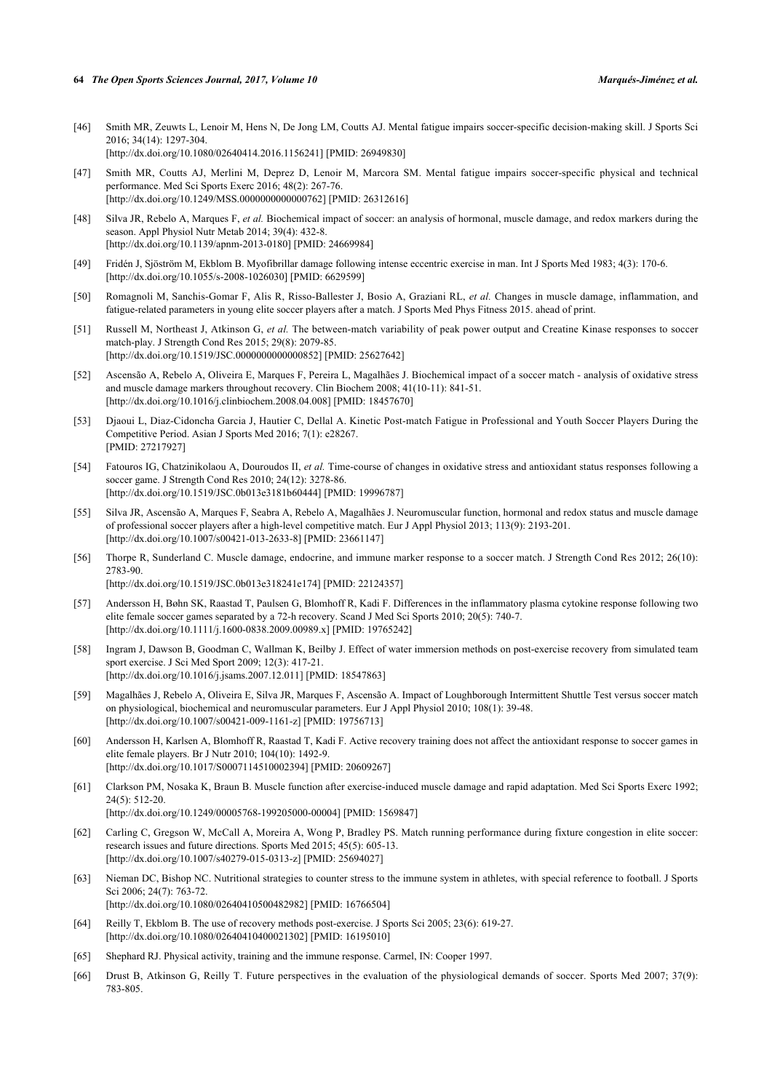- <span id="page-12-0"></span>[46] Smith MR, Zeuwts L, Lenoir M, Hens N, De Jong LM, Coutts AJ. Mental fatigue impairs soccer-specific decision-making skill. J Sports Sci 2016; 34(14): 1297-304. [\[http://dx.doi.org/10.1080/02640414.2016.1156241\]](http://dx.doi.org/10.1080/02640414.2016.1156241) [PMID: [26949830](http://www.ncbi.nlm.nih.gov/pubmed/26949830)]
- <span id="page-12-1"></span>[47] Smith MR, Coutts AJ, Merlini M, Deprez D, Lenoir M, Marcora SM. Mental fatigue impairs soccer-specific physical and technical performance. Med Sci Sports Exerc 2016; 48(2): 267-76. [\[http://dx.doi.org/10.1249/MSS.0000000000000762\]](http://dx.doi.org/10.1249/MSS.0000000000000762) [PMID: [26312616](http://www.ncbi.nlm.nih.gov/pubmed/26312616)]
- <span id="page-12-2"></span>[48] Silva JR, Rebelo A, Marques F, *et al.* Biochemical impact of soccer: an analysis of hormonal, muscle damage, and redox markers during the season. Appl Physiol Nutr Metab 2014; 39(4): 432-8. [\[http://dx.doi.org/10.1139/apnm-2013-0180\]](http://dx.doi.org/10.1139/apnm-2013-0180) [PMID: [24669984](http://www.ncbi.nlm.nih.gov/pubmed/24669984)]
- <span id="page-12-3"></span>[49] Fridén J, Sjöström M, Ekblom B. Myofibrillar damage following intense eccentric exercise in man. Int J Sports Med 1983; 4(3): 170-6. [\[http://dx.doi.org/10.1055/s-2008-1026030](http://dx.doi.org/10.1055/s-2008-1026030)] [PMID: [6629599\]](http://www.ncbi.nlm.nih.gov/pubmed/6629599)
- <span id="page-12-5"></span>[50] Romagnoli M, Sanchis-Gomar F, Alis R, Risso-Ballester J, Bosio A, Graziani RL, *et al.* Changes in muscle damage, inflammation, and fatigue-related parameters in young elite soccer players after a match. J Sports Med Phys Fitness 2015. ahead of print.
- <span id="page-12-4"></span>[51] Russell M, Northeast J, Atkinson G, *et al.* The between-match variability of peak power output and Creatine Kinase responses to soccer match-play. J Strength Cond Res 2015; 29(8): 2079-85. [\[http://dx.doi.org/10.1519/JSC.0000000000000852\]](http://dx.doi.org/10.1519/JSC.0000000000000852) [PMID: [25627642](http://www.ncbi.nlm.nih.gov/pubmed/25627642)]
- <span id="page-12-18"></span>[52] Ascensão A, Rebelo A, Oliveira E, Marques F, Pereira L, Magalhães J. Biochemical impact of a soccer match - analysis of oxidative stress and muscle damage markers throughout recovery. Clin Biochem 2008; 41(10-11): 841-51. [\[http://dx.doi.org/10.1016/j.clinbiochem.2008.04.008\]](http://dx.doi.org/10.1016/j.clinbiochem.2008.04.008) [PMID: [18457670](http://www.ncbi.nlm.nih.gov/pubmed/18457670)]
- <span id="page-12-20"></span>[53] Djaoui L, Diaz-Cidoncha Garcia J, Hautier C, Dellal A. Kinetic Post-match Fatigue in Professional and Youth Soccer Players During the Competitive Period. Asian J Sports Med 2016; 7(1): e28267. [PMID: [27217927\]](http://www.ncbi.nlm.nih.gov/pubmed/27217927)
- <span id="page-12-10"></span>[54] Fatouros IG, Chatzinikolaou A, Douroudos II, *et al.* Time-course of changes in oxidative stress and antioxidant status responses following a soccer game. J Strength Cond Res 2010; 24(12): 3278-86. [\[http://dx.doi.org/10.1519/JSC.0b013e3181b60444](http://dx.doi.org/10.1519/JSC.0b013e3181b60444)] [PMID: [19996787\]](http://www.ncbi.nlm.nih.gov/pubmed/19996787)
- <span id="page-12-7"></span>[55] Silva JR, Ascensão A, Marques F, Seabra A, Rebelo A, Magalhães J. Neuromuscular function, hormonal and redox status and muscle damage of professional soccer players after a high-level competitive match. Eur J Appl Physiol 2013; 113(9): 2193-201. [\[http://dx.doi.org/10.1007/s00421-013-2633-8\]](http://dx.doi.org/10.1007/s00421-013-2633-8) [PMID: [23661147](http://www.ncbi.nlm.nih.gov/pubmed/23661147)]
- <span id="page-12-6"></span>[56] Thorpe R, Sunderland C. Muscle damage, endocrine, and immune marker response to a soccer match. J Strength Cond Res 2012; 26(10): 2783-90.

[\[http://dx.doi.org/10.1519/JSC.0b013e318241e174\]](http://dx.doi.org/10.1519/JSC.0b013e318241e174) [PMID: [22124357](http://www.ncbi.nlm.nih.gov/pubmed/22124357)]

- <span id="page-12-8"></span>[57] Andersson H, Bøhn SK, Raastad T, Paulsen G, Blomhoff R, Kadi F. Differences in the inflammatory plasma cytokine response following two elite female soccer games separated by a 72-h recovery. Scand J Med Sci Sports 2010; 20(5): 740-7. [\[http://dx.doi.org/10.1111/j.1600-0838.2009.00989.x\]](http://dx.doi.org/10.1111/j.1600-0838.2009.00989.x) [PMID: [19765242](http://www.ncbi.nlm.nih.gov/pubmed/19765242)]
- <span id="page-12-9"></span>[58] Ingram J, Dawson B, Goodman C, Wallman K, Beilby J. Effect of water immersion methods on post-exercise recovery from simulated team sport exercise. J Sci Med Sport 2009; 12(3): 417-21. [\[http://dx.doi.org/10.1016/j.jsams.2007.12.011](http://dx.doi.org/10.1016/j.jsams.2007.12.011)] [PMID: [18547863\]](http://www.ncbi.nlm.nih.gov/pubmed/18547863)
- <span id="page-12-11"></span>[59] Magalhães J, Rebelo A, Oliveira E, Silva JR, Marques F, Ascensão A. Impact of Loughborough Intermittent Shuttle Test versus soccer match on physiological, biochemical and neuromuscular parameters. Eur J Appl Physiol 2010; 108(1): 39-48. [\[http://dx.doi.org/10.1007/s00421-009-1161-z](http://dx.doi.org/10.1007/s00421-009-1161-z)] [PMID: [19756713](http://www.ncbi.nlm.nih.gov/pubmed/19756713)]
- <span id="page-12-12"></span>[60] Andersson H, Karlsen A, Blomhoff R, Raastad T, Kadi F. Active recovery training does not affect the antioxidant response to soccer games in elite female players. Br J Nutr 2010; 104(10): 1492-9. [\[http://dx.doi.org/10.1017/S0007114510002394](http://dx.doi.org/10.1017/S0007114510002394)] [PMID: [20609267\]](http://www.ncbi.nlm.nih.gov/pubmed/20609267)
- <span id="page-12-13"></span>[61] Clarkson PM, Nosaka K, Braun B. Muscle function after exercise-induced muscle damage and rapid adaptation. Med Sci Sports Exerc 1992; 24(5): 512-20. [\[http://dx.doi.org/10.1249/00005768-199205000-00004](http://dx.doi.org/10.1249/00005768-199205000-00004)] [PMID: [1569847\]](http://www.ncbi.nlm.nih.gov/pubmed/1569847)
- <span id="page-12-14"></span>[62] Carling C, Gregson W, McCall A, Moreira A, Wong P, Bradley PS. Match running performance during fixture congestion in elite soccer: research issues and future directions. Sports Med 2015; 45(5): 605-13. [\[http://dx.doi.org/10.1007/s40279-015-0313-z](http://dx.doi.org/10.1007/s40279-015-0313-z)] [PMID: [25694027](http://www.ncbi.nlm.nih.gov/pubmed/25694027)]
- <span id="page-12-15"></span>[63] Nieman DC, Bishop NC. Nutritional strategies to counter stress to the immune system in athletes, with special reference to football. J Sports Sci 2006; 24(7): 763-72. [\[http://dx.doi.org/10.1080/02640410500482982\]](http://dx.doi.org/10.1080/02640410500482982) [PMID: [16766504](http://www.ncbi.nlm.nih.gov/pubmed/16766504)]
- <span id="page-12-19"></span>[64] Reilly T, Ekblom B. The use of recovery methods post-exercise. J Sports Sci 2005; 23(6): 619-27. [\[http://dx.doi.org/10.1080/02640410400021302\]](http://dx.doi.org/10.1080/02640410400021302) [PMID: [16195010](http://www.ncbi.nlm.nih.gov/pubmed/16195010)]
- <span id="page-12-16"></span>[65] Shephard RJ. Physical activity, training and the immune response. Carmel, IN: Cooper 1997.
- <span id="page-12-17"></span>[66] Drust B, Atkinson G, Reilly T. Future perspectives in the evaluation of the physiological demands of soccer. Sports Med 2007; 37(9): 783-805.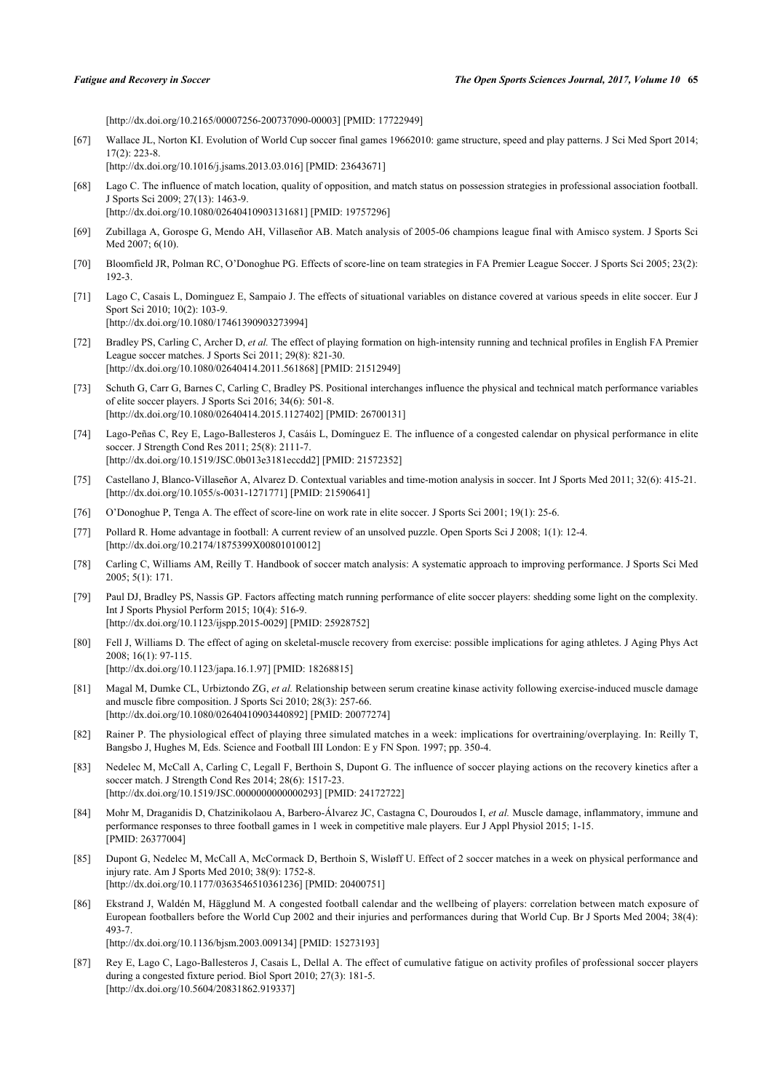[\[http://dx.doi.org/10.2165/00007256-200737090-00003](http://dx.doi.org/10.2165/00007256-200737090-00003)] [PMID: [17722949\]](http://www.ncbi.nlm.nih.gov/pubmed/17722949)

<span id="page-13-0"></span>[67] Wallace JL, Norton KI. Evolution of World Cup soccer final games 19662010: game structure, speed and play patterns. J Sci Med Sport 2014; 17(2): 223-8.

[\[http://dx.doi.org/10.1016/j.jsams.2013.03.016](http://dx.doi.org/10.1016/j.jsams.2013.03.016)] [PMID: [23643671\]](http://www.ncbi.nlm.nih.gov/pubmed/23643671)

- <span id="page-13-1"></span>[68] Lago C. The influence of match location, quality of opposition, and match status on possession strategies in professional association football. J Sports Sci 2009; 27(13): 1463-9. [\[http://dx.doi.org/10.1080/02640410903131681\]](http://dx.doi.org/10.1080/02640410903131681) [PMID: [19757296](http://www.ncbi.nlm.nih.gov/pubmed/19757296)]
- <span id="page-13-2"></span>[69] Zubillaga A, Gorospe G, Mendo AH, Villaseñor AB. Match analysis of 2005-06 champions league final with Amisco system. J Sports Sci Med 2007; 6(10).
- <span id="page-13-3"></span>[70] Bloomfield JR, Polman RC, O'Donoghue PG. Effects of score-line on team strategies in FA Premier League Soccer. J Sports Sci 2005; 23(2): 192-3.
- <span id="page-13-4"></span>[71] Lago C, Casais L, Dominguez E, Sampaio J. The effects of situational variables on distance covered at various speeds in elite soccer. Eur J Sport Sci 2010: 10(2): 103-9. [\[http://dx.doi.org/10.1080/17461390903273994\]](http://dx.doi.org/10.1080/17461390903273994)
- <span id="page-13-5"></span>[72] Bradley PS, Carling C, Archer D, *et al.* The effect of playing formation on high-intensity running and technical profiles in English FA Premier League soccer matches. J Sports Sci 2011; 29(8): 821-30. [\[http://dx.doi.org/10.1080/02640414.2011.561868\]](http://dx.doi.org/10.1080/02640414.2011.561868) [PMID: [21512949](http://www.ncbi.nlm.nih.gov/pubmed/21512949)]
- <span id="page-13-6"></span>[73] Schuth G, Carr G, Barnes C, Carling C, Bradley PS. Positional interchanges influence the physical and technical match performance variables of elite soccer players. J Sports Sci 2016; 34(6): 501-8. [\[http://dx.doi.org/10.1080/02640414.2015.1127402\]](http://dx.doi.org/10.1080/02640414.2015.1127402) [PMID: [26700131](http://www.ncbi.nlm.nih.gov/pubmed/26700131)]
- <span id="page-13-7"></span>[74] Lago-Peñas C, Rey E, Lago-Ballesteros J, Casáis L, Domínguez E. The influence of a congested calendar on physical performance in elite soccer. J Strength Cond Res 2011; 25(8): 2111-7. [\[http://dx.doi.org/10.1519/JSC.0b013e3181eccdd2\]](http://dx.doi.org/10.1519/JSC.0b013e3181eccdd2) [PMID: [21572352](http://www.ncbi.nlm.nih.gov/pubmed/21572352)]
- <span id="page-13-8"></span>[75] Castellano J, Blanco-Villaseñor A, Alvarez D. Contextual variables and time-motion analysis in soccer. Int J Sports Med 2011; 32(6): 415-21. [\[http://dx.doi.org/10.1055/s-0031-1271771](http://dx.doi.org/10.1055/s-0031-1271771)] [PMID: [21590641\]](http://www.ncbi.nlm.nih.gov/pubmed/21590641)
- <span id="page-13-9"></span>[76] O'Donoghue P, Tenga A. The effect of score-line on work rate in elite soccer. J Sports Sci 2001; 19(1): 25-6.
- <span id="page-13-10"></span>[77] Pollard R. Home advantage in football: A current review of an unsolved puzzle. Open Sports Sci J 2008; 1(1): 12-4. [\[http://dx.doi.org/10.2174/1875399X00801010012\]](http://dx.doi.org/10.2174/1875399X00801010012)
- <span id="page-13-11"></span>[78] Carling C, Williams AM, Reilly T. Handbook of soccer match analysis: A systematic approach to improving performance. J Sports Sci Med 2005; 5(1): 171.
- <span id="page-13-12"></span>[79] Paul DJ, Bradley PS, Nassis GP. Factors affecting match running performance of elite soccer players: shedding some light on the complexity. Int J Sports Physiol Perform 2015; 10(4): 516-9. [\[http://dx.doi.org/10.1123/ijspp.2015-0029](http://dx.doi.org/10.1123/ijspp.2015-0029)] [PMID: [25928752\]](http://www.ncbi.nlm.nih.gov/pubmed/25928752)
- <span id="page-13-13"></span>[80] Fell J, Williams D. The effect of aging on skeletal-muscle recovery from exercise: possible implications for aging athletes. J Aging Phys Act 2008; 16(1): 97-115. [\[http://dx.doi.org/10.1123/japa.16.1.97](http://dx.doi.org/10.1123/japa.16.1.97)] [PMID: [18268815\]](http://www.ncbi.nlm.nih.gov/pubmed/18268815)
- <span id="page-13-14"></span>[81] Magal M, Dumke CL, Urbiztondo ZG, *et al.* Relationship between serum creatine kinase activity following exercise-induced muscle damage and muscle fibre composition. J Sports Sci 2010; 28(3): 257-66. [\[http://dx.doi.org/10.1080/02640410903440892\]](http://dx.doi.org/10.1080/02640410903440892) [PMID: [20077274](http://www.ncbi.nlm.nih.gov/pubmed/20077274)]
- <span id="page-13-15"></span>[82] Rainer P. The physiological effect of playing three simulated matches in a week: implications for overtraining/overplaying. In: Reilly T, Bangsbo J, Hughes M, Eds. Science and Football III London: E y FN Spon. 1997; pp. 350-4.
- <span id="page-13-16"></span>[83] Nedelec M, McCall A, Carling C, Legall F, Berthoin S, Dupont G. The influence of soccer playing actions on the recovery kinetics after a soccer match. J Strength Cond Res 2014; 28(6): 1517-23. [\[http://dx.doi.org/10.1519/JSC.0000000000000293\]](http://dx.doi.org/10.1519/JSC.0000000000000293) [PMID: [24172722](http://www.ncbi.nlm.nih.gov/pubmed/24172722)]
- <span id="page-13-17"></span>[84] Mohr M, Draganidis D, Chatzinikolaou A, Barbero-Álvarez JC, Castagna C, Douroudos I, *et al.* Muscle damage, inflammatory, immune and performance responses to three football games in 1 week in competitive male players. Eur J Appl Physiol 2015; 1-15. [PMID: [26377004\]](http://www.ncbi.nlm.nih.gov/pubmed/26377004)
- <span id="page-13-18"></span>[85] Dupont G, Nedelec M, McCall A, McCormack D, Berthoin S, Wisløff U. Effect of 2 soccer matches in a week on physical performance and injury rate. Am J Sports Med 2010; 38(9): 1752-8. [\[http://dx.doi.org/10.1177/0363546510361236\]](http://dx.doi.org/10.1177/0363546510361236) [PMID: [20400751](http://www.ncbi.nlm.nih.gov/pubmed/20400751)]
- <span id="page-13-19"></span>[86] Ekstrand J, Waldén M, Hägglund M. A congested football calendar and the wellbeing of players: correlation between match exposure of European footballers before the World Cup 2002 and their injuries and performances during that World Cup. Br J Sports Med 2004; 38(4): 493-7.

[\[http://dx.doi.org/10.1136/bjsm.2003.009134](http://dx.doi.org/10.1136/bjsm.2003.009134)] [PMID: [15273193\]](http://www.ncbi.nlm.nih.gov/pubmed/15273193)

<span id="page-13-20"></span>[87] Rey E, Lago C, Lago-Ballesteros J, Casais L, Dellal A. The effect of cumulative fatigue on activity profiles of professional soccer players during a congested fixture period. Biol Sport 2010; 27(3): 181-5. [\[http://dx.doi.org/10.5604/20831862.919337\]](http://dx.doi.org/10.5604/20831862.919337)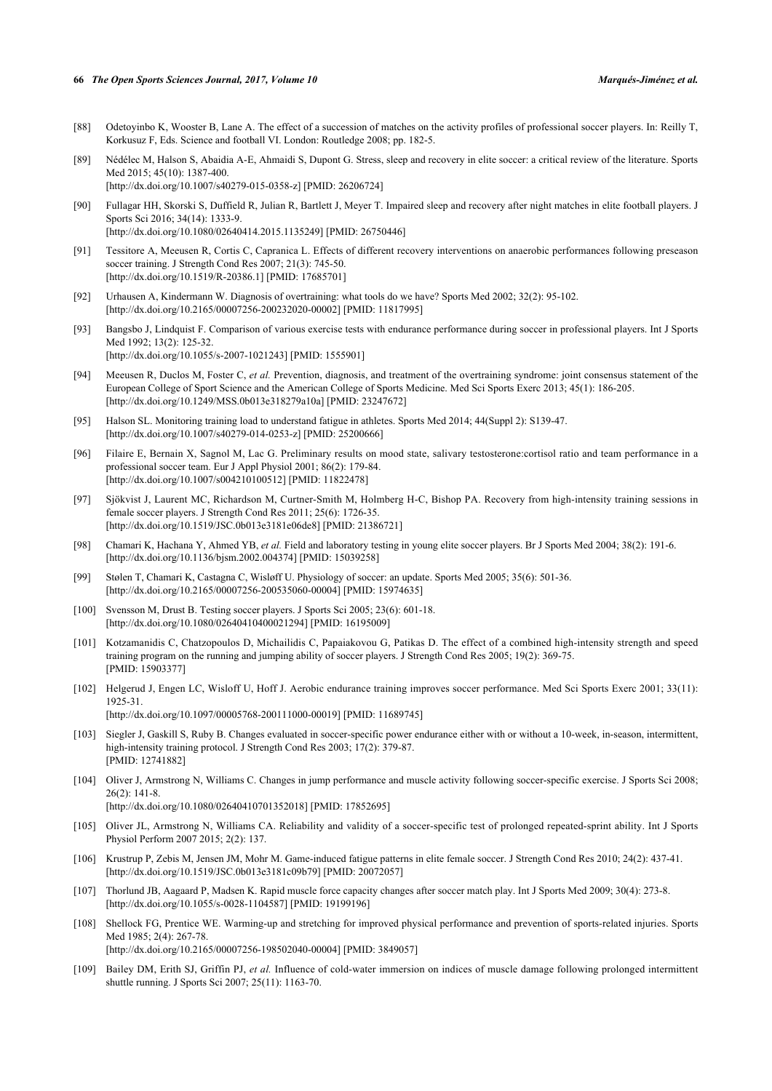#### **66** *The Open Sports Sciences Journal, 2017, Volume 10 Marqués-Jiménez et al.*

- <span id="page-14-0"></span>[88] Odetoyinbo K, Wooster B, Lane A. The effect of a succession of matches on the activity profiles of professional soccer players. In: Reilly T, Korkusuz F, Eds. Science and football VI. London: Routledge 2008; pp. 182-5.
- <span id="page-14-1"></span>[89] Nédélec M, Halson S, Abaidia A-E, Ahmaidi S, Dupont G. Stress, sleep and recovery in elite soccer: a critical review of the literature. Sports Med 2015; 45(10): 1387-400.
	- [\[http://dx.doi.org/10.1007/s40279-015-0358-z](http://dx.doi.org/10.1007/s40279-015-0358-z)] [PMID: [26206724](http://www.ncbi.nlm.nih.gov/pubmed/26206724)]
- <span id="page-14-2"></span>[90] Fullagar HH, Skorski S, Duffield R, Julian R, Bartlett J, Meyer T. Impaired sleep and recovery after night matches in elite football players. J Sports Sci 2016; 34(14): 1333-9. [\[http://dx.doi.org/10.1080/02640414.2015.1135249\]](http://dx.doi.org/10.1080/02640414.2015.1135249) [PMID: [26750446](http://www.ncbi.nlm.nih.gov/pubmed/26750446)]
- <span id="page-14-3"></span>[91] Tessitore A, Meeusen R, Cortis C, Capranica L. Effects of different recovery interventions on anaerobic performances following preseason soccer training. J Strength Cond Res 2007; 21(3): 745-50.
	- [\[http://dx.doi.org/10.1519/R-20386.1\]](http://dx.doi.org/10.1519/R-20386.1) [PMID: [17685701](http://www.ncbi.nlm.nih.gov/pubmed/17685701)]
- <span id="page-14-4"></span>[92] Urhausen A, Kindermann W. Diagnosis of overtraining: what tools do we have? Sports Med 2002; 32(2): 95-102. [\[http://dx.doi.org/10.2165/00007256-200232020-00002](http://dx.doi.org/10.2165/00007256-200232020-00002)] [PMID: [11817995\]](http://www.ncbi.nlm.nih.gov/pubmed/11817995)
- <span id="page-14-5"></span>[93] Bangsbo J, Lindquist F. Comparison of various exercise tests with endurance performance during soccer in professional players. Int J Sports Med 1992; 13(2): 125-32. [\[http://dx.doi.org/10.1055/s-2007-1021243](http://dx.doi.org/10.1055/s-2007-1021243)] [PMID: [1555901\]](http://www.ncbi.nlm.nih.gov/pubmed/1555901)
- <span id="page-14-6"></span>[94] Meeusen R, Duclos M, Foster C, *et al.* Prevention, diagnosis, and treatment of the overtraining syndrome: joint consensus statement of the European College of Sport Science and the American College of Sports Medicine. Med Sci Sports Exerc 2013; 45(1): 186-205. [\[http://dx.doi.org/10.1249/MSS.0b013e318279a10a](http://dx.doi.org/10.1249/MSS.0b013e318279a10a)] [PMID: [23247672](http://www.ncbi.nlm.nih.gov/pubmed/23247672)]
- <span id="page-14-7"></span>[95] Halson SL. Monitoring training load to understand fatigue in athletes. Sports Med 2014; 44(Suppl 2): S139-47. [\[http://dx.doi.org/10.1007/s40279-014-0253-z](http://dx.doi.org/10.1007/s40279-014-0253-z)] [PMID: [25200666](http://www.ncbi.nlm.nih.gov/pubmed/25200666)]
- <span id="page-14-8"></span>[96] Filaire E, Bernain X, Sagnol M, Lac G. Preliminary results on mood state, salivary testosterone:cortisol ratio and team performance in a professional soccer team. Eur J Appl Physiol 2001; 86(2): 179-84. [\[http://dx.doi.org/10.1007/s004210100512\]](http://dx.doi.org/10.1007/s004210100512) [PMID: [11822478](http://www.ncbi.nlm.nih.gov/pubmed/11822478)]
- <span id="page-14-9"></span>[97] Sjökvist J, Laurent MC, Richardson M, Curtner-Smith M, Holmberg H-C, Bishop PA. Recovery from high-intensity training sessions in female soccer players. J Strength Cond Res 2011; 25(6): 1726-35. [\[http://dx.doi.org/10.1519/JSC.0b013e3181e06de8](http://dx.doi.org/10.1519/JSC.0b013e3181e06de8)] [PMID: [21386721\]](http://www.ncbi.nlm.nih.gov/pubmed/21386721)
- <span id="page-14-10"></span>[98] Chamari K, Hachana Y, Ahmed YB, *et al.* Field and laboratory testing in young elite soccer players. Br J Sports Med 2004; 38(2): 191-6. [\[http://dx.doi.org/10.1136/bjsm.2002.004374](http://dx.doi.org/10.1136/bjsm.2002.004374)] [PMID: [15039258\]](http://www.ncbi.nlm.nih.gov/pubmed/15039258)
- [99] Stølen T, Chamari K, Castagna C, Wisløff U. Physiology of soccer: an update. Sports Med 2005; 35(6): 501-36. [\[http://dx.doi.org/10.2165/00007256-200535060-00004](http://dx.doi.org/10.2165/00007256-200535060-00004)] [PMID: [15974635\]](http://www.ncbi.nlm.nih.gov/pubmed/15974635)
- <span id="page-14-11"></span>[100] Svensson M, Drust B. Testing soccer players. J Sports Sci 2005; 23(6): 601-18. [\[http://dx.doi.org/10.1080/02640410400021294\]](http://dx.doi.org/10.1080/02640410400021294) [PMID: [16195009](http://www.ncbi.nlm.nih.gov/pubmed/16195009)]
- <span id="page-14-12"></span>[101] Kotzamanidis C, Chatzopoulos D, Michailidis C, Papaiakovou G, Patikas D. The effect of a combined high-intensity strength and speed training program on the running and jumping ability of soccer players. J Strength Cond Res 2005; 19(2): 369-75. [PMID: [15903377\]](http://www.ncbi.nlm.nih.gov/pubmed/15903377)
- [102] Helgerud J, Engen LC, Wisloff U, Hoff J. Aerobic endurance training improves soccer performance. Med Sci Sports Exerc 2001; 33(11): 1925-31. [\[http://dx.doi.org/10.1097/00005768-200111000-00019](http://dx.doi.org/10.1097/00005768-200111000-00019)] [PMID: [11689745\]](http://www.ncbi.nlm.nih.gov/pubmed/11689745)
- <span id="page-14-13"></span>[103] Siegler J, Gaskill S, Ruby B. Changes evaluated in soccer-specific power endurance either with or without a 10-week, in-season, intermittent, high-intensity training protocol. J Strength Cond Res 2003; 17(2): 379-87. [PMID: [12741882\]](http://www.ncbi.nlm.nih.gov/pubmed/12741882)
- <span id="page-14-14"></span>[104] Oliver J, Armstrong N, Williams C. Changes in jump performance and muscle activity following soccer-specific exercise. J Sports Sci 2008; 26(2): 141-8. [\[http://dx.doi.org/10.1080/02640410701352018\]](http://dx.doi.org/10.1080/02640410701352018) [PMID: [17852695](http://www.ncbi.nlm.nih.gov/pubmed/17852695)]
- <span id="page-14-15"></span>[105] Oliver JL, Armstrong N, Williams CA. Reliability and validity of a soccer-specific test of prolonged repeated-sprint ability. Int J Sports Physiol Perform 2007 2015; 2(2): 137.
- <span id="page-14-16"></span>[106] Krustrup P, Zebis M, Jensen JM, Mohr M. Game-induced fatigue patterns in elite female soccer. J Strength Cond Res 2010; 24(2): 437-41. [\[http://dx.doi.org/10.1519/JSC.0b013e3181c09b79\]](http://dx.doi.org/10.1519/JSC.0b013e3181c09b79) [PMID: [20072057](http://www.ncbi.nlm.nih.gov/pubmed/20072057)]
- <span id="page-14-17"></span>[107] Thorlund JB, Aagaard P, Madsen K. Rapid muscle force capacity changes after soccer match play. Int J Sports Med 2009; 30(4): 273-8. [\[http://dx.doi.org/10.1055/s-0028-1104587](http://dx.doi.org/10.1055/s-0028-1104587)] [PMID: [19199196\]](http://www.ncbi.nlm.nih.gov/pubmed/19199196)
- <span id="page-14-18"></span>[108] Shellock FG, Prentice WE. Warming-up and stretching for improved physical performance and prevention of sports-related injuries. Sports Med 1985; 2(4): 267-78. [\[http://dx.doi.org/10.2165/00007256-198502040-00004](http://dx.doi.org/10.2165/00007256-198502040-00004)] [PMID: [3849057\]](http://www.ncbi.nlm.nih.gov/pubmed/3849057)
- <span id="page-14-19"></span>[109] Bailey DM, Erith SJ, Griffin PJ, *et al.* Influence of cold-water immersion on indices of muscle damage following prolonged intermittent shuttle running. J Sports Sci 2007; 25(11): 1163-70.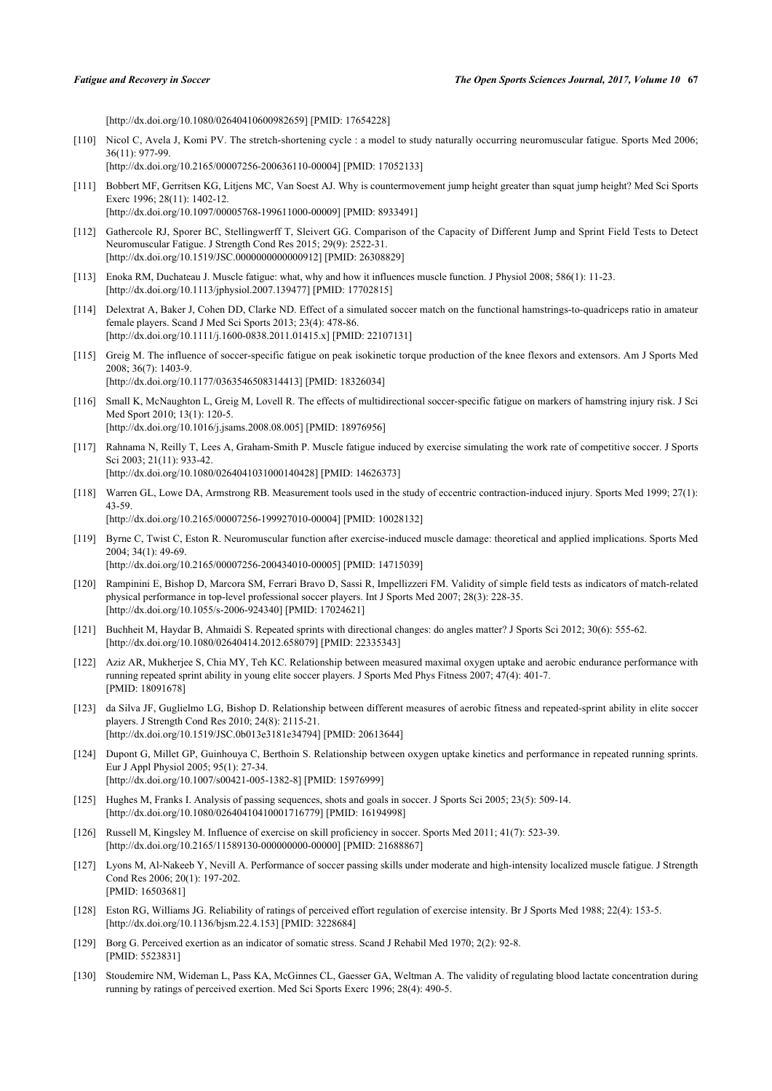[\[http://dx.doi.org/10.1080/02640410600982659\]](http://dx.doi.org/10.1080/02640410600982659) [PMID: [17654228](http://www.ncbi.nlm.nih.gov/pubmed/17654228)]

- <span id="page-15-0"></span>[110] Nicol C, Avela J, Komi PV. The stretch-shortening cycle : a model to study naturally occurring neuromuscular fatigue. Sports Med 2006; 36(11): 977-99. [\[http://dx.doi.org/10.2165/00007256-200636110-00004](http://dx.doi.org/10.2165/00007256-200636110-00004)] [PMID: [17052133\]](http://www.ncbi.nlm.nih.gov/pubmed/17052133)
- <span id="page-15-1"></span>[111] Bobbert MF, Gerritsen KG, Litjens MC, Van Soest AJ. Why is countermovement jump height greater than squat jump height? Med Sci Sports Exerc 1996; 28(11): 1402-12.

[\[http://dx.doi.org/10.1097/00005768-199611000-00009](http://dx.doi.org/10.1097/00005768-199611000-00009)] [PMID: [8933491\]](http://www.ncbi.nlm.nih.gov/pubmed/8933491)

- <span id="page-15-2"></span>[112] Gathercole RJ, Sporer BC, Stellingwerff T, Sleivert GG. Comparison of the Capacity of Different Jump and Sprint Field Tests to Detect Neuromuscular Fatigue. J Strength Cond Res 2015; 29(9): 2522-31. [\[http://dx.doi.org/10.1519/JSC.0000000000000912\]](http://dx.doi.org/10.1519/JSC.0000000000000912) [PMID: [26308829](http://www.ncbi.nlm.nih.gov/pubmed/26308829)]
- <span id="page-15-3"></span>[113] Enoka RM, Duchateau J. Muscle fatigue: what, why and how it influences muscle function. J Physiol 2008; 586(1): 11-23. [\[http://dx.doi.org/10.1113/jphysiol.2007.139477\]](http://dx.doi.org/10.1113/jphysiol.2007.139477) [PMID: [17702815](http://www.ncbi.nlm.nih.gov/pubmed/17702815)]
- <span id="page-15-4"></span>[114] Delextrat A, Baker J, Cohen DD, Clarke ND. Effect of a simulated soccer match on the functional hamstrings-to-quadriceps ratio in amateur female players. Scand J Med Sci Sports 2013; 23(4): 478-86. [\[http://dx.doi.org/10.1111/j.1600-0838.2011.01415.x\]](http://dx.doi.org/10.1111/j.1600-0838.2011.01415.x) [PMID: [22107131](http://www.ncbi.nlm.nih.gov/pubmed/22107131)]
- [115] Greig M. The influence of soccer-specific fatigue on peak isokinetic torque production of the knee flexors and extensors. Am J Sports Med 2008; 36(7): 1403-9. [\[http://dx.doi.org/10.1177/0363546508314413\]](http://dx.doi.org/10.1177/0363546508314413) [PMID: [18326034](http://www.ncbi.nlm.nih.gov/pubmed/18326034)]
- <span id="page-15-5"></span>[116] Small K, McNaughton L, Greig M, Lovell R. The effects of multidirectional soccer-specific fatigue on markers of hamstring injury risk. J Sci Med Sport 2010; 13(1): 120-5. [\[http://dx.doi.org/10.1016/j.jsams.2008.08.005](http://dx.doi.org/10.1016/j.jsams.2008.08.005)] [PMID: [18976956\]](http://www.ncbi.nlm.nih.gov/pubmed/18976956)
- <span id="page-15-6"></span>[117] Rahnama N, Reilly T, Lees A, Graham-Smith P. Muscle fatigue induced by exercise simulating the work rate of competitive soccer. J Sports Sci 2003; 21(11): 933-42. [\[http://dx.doi.org/10.1080/0264041031000140428\]](http://dx.doi.org/10.1080/0264041031000140428) [PMID: [14626373](http://www.ncbi.nlm.nih.gov/pubmed/14626373)]
- <span id="page-15-7"></span>[118] Warren GL, Lowe DA, Armstrong RB. Measurement tools used in the study of eccentric contraction-induced injury. Sports Med 1999; 27(1): 43-59. [\[http://dx.doi.org/10.2165/00007256-199927010-00004](http://dx.doi.org/10.2165/00007256-199927010-00004)] [PMID: [10028132\]](http://www.ncbi.nlm.nih.gov/pubmed/10028132)
- <span id="page-15-8"></span>[119] Byrne C, Twist C, Eston R. Neuromuscular function after exercise-induced muscle damage: theoretical and applied implications. Sports Med 2004; 34(1): 49-69. [\[http://dx.doi.org/10.2165/00007256-200434010-00005](http://dx.doi.org/10.2165/00007256-200434010-00005)] [PMID: [14715039\]](http://www.ncbi.nlm.nih.gov/pubmed/14715039)
- <span id="page-15-9"></span>[120] Rampinini E, Bishop D, Marcora SM, Ferrari Bravo D, Sassi R, Impellizzeri FM. Validity of simple field tests as indicators of match-related physical performance in top-level professional soccer players. Int J Sports Med 2007; 28(3): 228-35. [\[http://dx.doi.org/10.1055/s-2006-924340](http://dx.doi.org/10.1055/s-2006-924340)] [PMID: [17024621\]](http://www.ncbi.nlm.nih.gov/pubmed/17024621)
- <span id="page-15-10"></span>[121] Buchheit M, Haydar B, Ahmaidi S. Repeated sprints with directional changes: do angles matter? J Sports Sci 2012; 30(6): 555-62. [\[http://dx.doi.org/10.1080/02640414.2012.658079\]](http://dx.doi.org/10.1080/02640414.2012.658079) [PMID: [22335343](http://www.ncbi.nlm.nih.gov/pubmed/22335343)]
- <span id="page-15-11"></span>[122] Aziz AR, Mukherjee S, Chia MY, Teh KC. Relationship between measured maximal oxygen uptake and aerobic endurance performance with running repeated sprint ability in young elite soccer players. J Sports Med Phys Fitness 2007; 47(4): 401-7. [PMID: [18091678\]](http://www.ncbi.nlm.nih.gov/pubmed/18091678)
- [123] da Silva JF, Guglielmo LG, Bishop D. Relationship between different measures of aerobic fitness and repeated-sprint ability in elite soccer players. J Strength Cond Res 2010; 24(8): 2115-21. [\[http://dx.doi.org/10.1519/JSC.0b013e3181e34794\]](http://dx.doi.org/10.1519/JSC.0b013e3181e34794) [PMID: [20613644](http://www.ncbi.nlm.nih.gov/pubmed/20613644)]
- <span id="page-15-12"></span>[124] Dupont G, Millet GP, Guinhouya C, Berthoin S. Relationship between oxygen uptake kinetics and performance in repeated running sprints. Eur J Appl Physiol 2005; 95(1): 27-34. [\[http://dx.doi.org/10.1007/s00421-005-1382-8\]](http://dx.doi.org/10.1007/s00421-005-1382-8) [PMID: [15976999](http://www.ncbi.nlm.nih.gov/pubmed/15976999)]
- <span id="page-15-13"></span>[125] Hughes M, Franks I. Analysis of passing sequences, shots and goals in soccer. J Sports Sci 2005; 23(5): 509-14. [\[http://dx.doi.org/10.1080/02640410410001716779\]](http://dx.doi.org/10.1080/02640410410001716779) [PMID: [16194998](http://www.ncbi.nlm.nih.gov/pubmed/16194998)]
- <span id="page-15-14"></span>[126] Russell M, Kingsley M. Influence of exercise on skill proficiency in soccer. Sports Med 2011; 41(7): 523-39. [\[http://dx.doi.org/10.2165/11589130-000000000-00000](http://dx.doi.org/10.2165/11589130-000000000-00000)] [PMID: [21688867\]](http://www.ncbi.nlm.nih.gov/pubmed/21688867)
- <span id="page-15-15"></span>[127] Lyons M, Al-Nakeeb Y, Nevill A. Performance of soccer passing skills under moderate and high-intensity localized muscle fatigue. J Strength Cond Res 2006; 20(1): 197-202. [PMID: [16503681\]](http://www.ncbi.nlm.nih.gov/pubmed/16503681)
- <span id="page-15-16"></span>[128] Eston RG, Williams JG. Reliability of ratings of perceived effort regulation of exercise intensity. Br J Sports Med 1988; 22(4): 153-5. [\[http://dx.doi.org/10.1136/bjsm.22.4.153](http://dx.doi.org/10.1136/bjsm.22.4.153)] [PMID: [3228684\]](http://www.ncbi.nlm.nih.gov/pubmed/3228684)
- <span id="page-15-17"></span>[129] Borg G. Perceived exertion as an indicator of somatic stress. Scand J Rehabil Med 1970; 2(2): 92-8. [PMID: [5523831\]](http://www.ncbi.nlm.nih.gov/pubmed/5523831)
- <span id="page-15-18"></span>[130] Stoudemire NM, Wideman L, Pass KA, McGinnes CL, Gaesser GA, Weltman A. The validity of regulating blood lactate concentration during running by ratings of perceived exertion. Med Sci Sports Exerc 1996; 28(4): 490-5.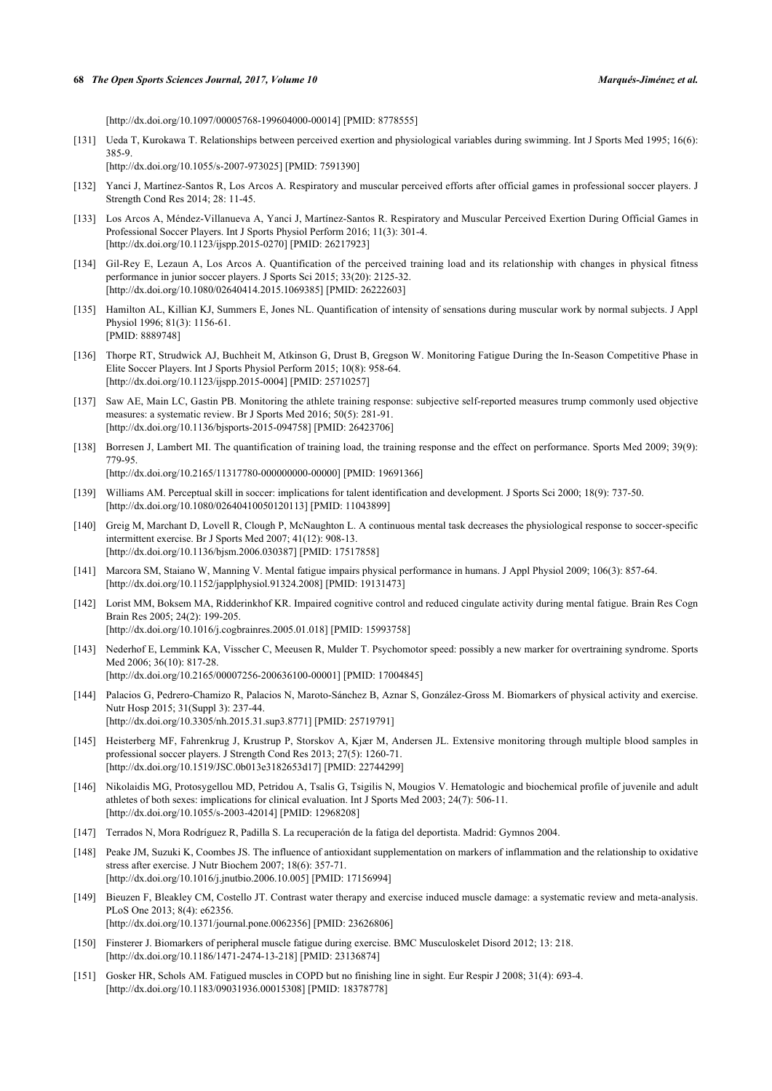[\[http://dx.doi.org/10.1097/00005768-199604000-00014](http://dx.doi.org/10.1097/00005768-199604000-00014)] [PMID: [8778555\]](http://www.ncbi.nlm.nih.gov/pubmed/8778555)

<span id="page-16-0"></span>[131] Ueda T, Kurokawa T. Relationships between perceived exertion and physiological variables during swimming. Int J Sports Med 1995; 16(6): 385-9.

[\[http://dx.doi.org/10.1055/s-2007-973025](http://dx.doi.org/10.1055/s-2007-973025)] [PMID: [7591390\]](http://www.ncbi.nlm.nih.gov/pubmed/7591390)

- <span id="page-16-1"></span>[132] Yanci J, Martínez-Santos R, Los Arcos A. Respiratory and muscular perceived efforts after official games in professional soccer players. J Strength Cond Res 2014; 28: 11-45.
- <span id="page-16-2"></span>[133] Los Arcos A, Méndez-Villanueva A, Yanci J, Martínez-Santos R. Respiratory and Muscular Perceived Exertion During Official Games in Professional Soccer Players. Int J Sports Physiol Perform 2016; 11(3): 301-4. [\[http://dx.doi.org/10.1123/ijspp.2015-0270](http://dx.doi.org/10.1123/ijspp.2015-0270)] [PMID: [26217923\]](http://www.ncbi.nlm.nih.gov/pubmed/26217923)
- <span id="page-16-3"></span>[134] Gil-Rey E, Lezaun A, Los Arcos A. Quantification of the perceived training load and its relationship with changes in physical fitness performance in junior soccer players. J Sports Sci 2015; 33(20): 2125-32. [\[http://dx.doi.org/10.1080/02640414.2015.1069385\]](http://dx.doi.org/10.1080/02640414.2015.1069385) [PMID: [26222603](http://www.ncbi.nlm.nih.gov/pubmed/26222603)]
- <span id="page-16-4"></span>[135] Hamilton AL, Killian KJ, Summers E, Jones NL. Quantification of intensity of sensations during muscular work by normal subjects. J Appl Physiol 1996; 81(3): 1156-61. [PMID: [8889748\]](http://www.ncbi.nlm.nih.gov/pubmed/8889748)
- <span id="page-16-5"></span>[136] Thorpe RT, Strudwick AJ, Buchheit M, Atkinson G, Drust B, Gregson W. Monitoring Fatigue During the In-Season Competitive Phase in Elite Soccer Players. Int J Sports Physiol Perform 2015; 10(8): 958-64. [\[http://dx.doi.org/10.1123/ijspp.2015-0004](http://dx.doi.org/10.1123/ijspp.2015-0004)] [PMID: [25710257\]](http://www.ncbi.nlm.nih.gov/pubmed/25710257)
- <span id="page-16-6"></span>[137] Saw AE, Main LC, Gastin PB. Monitoring the athlete training response: subjective self-reported measures trump commonly used objective measures: a systematic review. Br J Sports Med 2016; 50(5): 281-91. [\[http://dx.doi.org/10.1136/bjsports-2015-094758](http://dx.doi.org/10.1136/bjsports-2015-094758)] [PMID: [26423706](http://www.ncbi.nlm.nih.gov/pubmed/26423706)]
- <span id="page-16-7"></span>[138] Borresen J, Lambert MI. The quantification of training load, the training response and the effect on performance. Sports Med 2009; 39(9): 779-95. [\[http://dx.doi.org/10.2165/11317780-000000000-00000](http://dx.doi.org/10.2165/11317780-000000000-00000)] [PMID: [19691366\]](http://www.ncbi.nlm.nih.gov/pubmed/19691366)
- <span id="page-16-8"></span>[139] Williams AM. Perceptual skill in soccer: implications for talent identification and development. J Sports Sci 2000; 18(9): 737-50. [\[http://dx.doi.org/10.1080/02640410050120113\]](http://dx.doi.org/10.1080/02640410050120113) [PMID: [11043899](http://www.ncbi.nlm.nih.gov/pubmed/11043899)]
- <span id="page-16-9"></span>[140] Greig M, Marchant D, Lovell R, Clough P, McNaughton L. A continuous mental task decreases the physiological response to soccer-specific intermittent exercise. Br J Sports Med 2007; 41(12): 908-13. [\[http://dx.doi.org/10.1136/bjsm.2006.030387](http://dx.doi.org/10.1136/bjsm.2006.030387)] [PMID: [17517858\]](http://www.ncbi.nlm.nih.gov/pubmed/17517858)
- <span id="page-16-10"></span>[141] Marcora SM, Staiano W, Manning V. Mental fatigue impairs physical performance in humans. J Appl Physiol 2009; 106(3): 857-64. [\[http://dx.doi.org/10.1152/japplphysiol.91324.2008](http://dx.doi.org/10.1152/japplphysiol.91324.2008)] [PMID: [19131473\]](http://www.ncbi.nlm.nih.gov/pubmed/19131473)
- <span id="page-16-11"></span>[142] Lorist MM, Boksem MA, Ridderinkhof KR. Impaired cognitive control and reduced cingulate activity during mental fatigue. Brain Res Cogn Brain Res 2005; 24(2): 199-205. [\[http://dx.doi.org/10.1016/j.cogbrainres.2005.01.018](http://dx.doi.org/10.1016/j.cogbrainres.2005.01.018)] [PMID: [15993758\]](http://www.ncbi.nlm.nih.gov/pubmed/15993758)
- <span id="page-16-12"></span>[143] Nederhof E, Lemmink KA, Visscher C, Meeusen R, Mulder T. Psychomotor speed: possibly a new marker for overtraining syndrome. Sports Med 2006; 36(10): 817-28. [\[http://dx.doi.org/10.2165/00007256-200636100-00001](http://dx.doi.org/10.2165/00007256-200636100-00001)] [PMID: [17004845\]](http://www.ncbi.nlm.nih.gov/pubmed/17004845)
- <span id="page-16-13"></span>[144] Palacios G, Pedrero-Chamizo R, Palacios N, Maroto-Sánchez B, Aznar S, González-Gross M. Biomarkers of physical activity and exercise. Nutr Hosp 2015; 31(Suppl 3): 237-44. [\[http://dx.doi.org/10.3305/nh.2015.31.sup3.8771\]](http://dx.doi.org/10.3305/nh.2015.31.sup3.8771) [PMID: [25719791](http://www.ncbi.nlm.nih.gov/pubmed/25719791)]
- <span id="page-16-14"></span>[145] Heisterberg MF, Fahrenkrug J, Krustrup P, Storskov A, Kjær M, Andersen JL. Extensive monitoring through multiple blood samples in professional soccer players. J Strength Cond Res 2013; 27(5): 1260-71. [\[http://dx.doi.org/10.1519/JSC.0b013e3182653d17](http://dx.doi.org/10.1519/JSC.0b013e3182653d17)] [PMID: [22744299\]](http://www.ncbi.nlm.nih.gov/pubmed/22744299)
- <span id="page-16-15"></span>[146] Nikolaidis MG, Protosygellou MD, Petridou A, Tsalis G, Tsigilis N, Mougios V. Hematologic and biochemical profile of juvenile and adult athletes of both sexes: implications for clinical evaluation. Int J Sports Med 2003; 24(7): 506-11. [\[http://dx.doi.org/10.1055/s-2003-42014](http://dx.doi.org/10.1055/s-2003-42014)] [PMID: [12968208\]](http://www.ncbi.nlm.nih.gov/pubmed/12968208)
- <span id="page-16-16"></span>[147] Terrados N, Mora Rodríguez R, Padilla S. La recuperación de la fatiga del deportista. Madrid: Gymnos 2004.
- <span id="page-16-17"></span>[148] Peake JM, Suzuki K, Coombes JS. The influence of antioxidant supplementation on markers of inflammation and the relationship to oxidative stress after exercise. J Nutr Biochem 2007; 18(6): 357-71. [\[http://dx.doi.org/10.1016/j.jnutbio.2006.10.005\]](http://dx.doi.org/10.1016/j.jnutbio.2006.10.005) [PMID: [17156994](http://www.ncbi.nlm.nih.gov/pubmed/17156994)]
- <span id="page-16-18"></span>[149] Bieuzen F, Bleakley CM, Costello JT. Contrast water therapy and exercise induced muscle damage: a systematic review and meta-analysis. PLoS One 2013; 8(4): e62356. [\[http://dx.doi.org/10.1371/journal.pone.0062356](http://dx.doi.org/10.1371/journal.pone.0062356)] [PMID: [23626806\]](http://www.ncbi.nlm.nih.gov/pubmed/23626806)
- <span id="page-16-19"></span>[150] Finsterer J. Biomarkers of peripheral muscle fatigue during exercise. BMC Musculoskelet Disord 2012; 13: 218. [\[http://dx.doi.org/10.1186/1471-2474-13-218\]](http://dx.doi.org/10.1186/1471-2474-13-218) [PMID: [23136874](http://www.ncbi.nlm.nih.gov/pubmed/23136874)]
- <span id="page-16-20"></span>[151] Gosker HR, Schols AM. Fatigued muscles in COPD but no finishing line in sight. Eur Respir J 2008; 31(4): 693-4. [\[http://dx.doi.org/10.1183/09031936.00015308\]](http://dx.doi.org/10.1183/09031936.00015308) [PMID: [18378778](http://www.ncbi.nlm.nih.gov/pubmed/18378778)]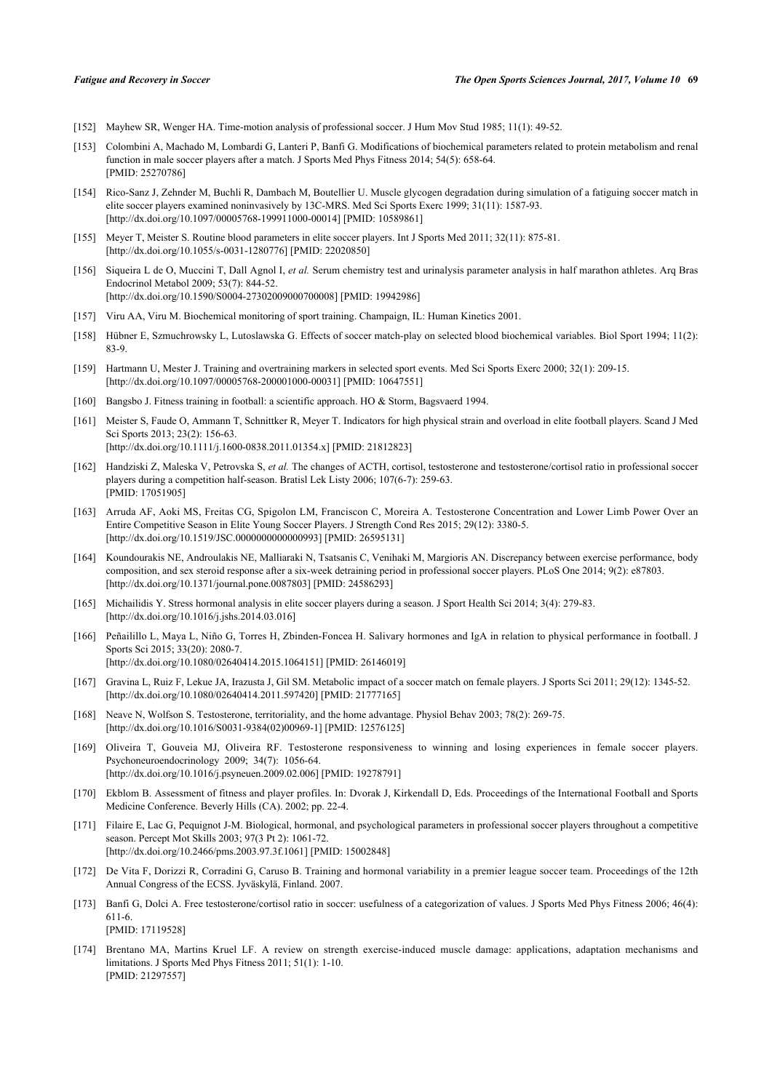- <span id="page-17-0"></span>[152] Mayhew SR, Wenger HA. Time-motion analysis of professional soccer. J Hum Mov Stud 1985; 11(1): 49-52.
- <span id="page-17-1"></span>[153] Colombini A, Machado M, Lombardi G, Lanteri P, Banfi G. Modifications of biochemical parameters related to protein metabolism and renal function in male soccer players after a match. J Sports Med Phys Fitness 2014; 54(5): 658-64. [PMID: [25270786\]](http://www.ncbi.nlm.nih.gov/pubmed/25270786)
- <span id="page-17-2"></span>[154] Rico-Sanz J, Zehnder M, Buchli R, Dambach M, Boutellier U. Muscle glycogen degradation during simulation of a fatiguing soccer match in elite soccer players examined noninvasively by 13C-MRS. Med Sci Sports Exerc 1999; 31(11): 1587-93. [\[http://dx.doi.org/10.1097/00005768-199911000-00014](http://dx.doi.org/10.1097/00005768-199911000-00014)] [PMID: [10589861\]](http://www.ncbi.nlm.nih.gov/pubmed/10589861)
- <span id="page-17-3"></span>[155] Meyer T, Meister S. Routine blood parameters in elite soccer players. Int J Sports Med 2011; 32(11): 875-81. [\[http://dx.doi.org/10.1055/s-0031-1280776](http://dx.doi.org/10.1055/s-0031-1280776)] [PMID: [22020850\]](http://www.ncbi.nlm.nih.gov/pubmed/22020850)
- <span id="page-17-4"></span>[156] Siqueira L de O, Muccini T, Dall Agnol I, *et al.* Serum chemistry test and urinalysis parameter analysis in half marathon athletes. Arq Bras Endocrinol Metabol 2009; 53(7): 844-52. [\[http://dx.doi.org/10.1590/S0004-27302009000700008\]](http://dx.doi.org/10.1590/S0004-27302009000700008) [PMID: [19942986](http://www.ncbi.nlm.nih.gov/pubmed/19942986)]
- <span id="page-17-5"></span>[157] Viru AA, Viru M. Biochemical monitoring of sport training. Champaign, IL: Human Kinetics 2001.
- <span id="page-17-6"></span>[158] Hübner E, Szmuchrowsky L, Lutoslawska G. Effects of soccer match-play on selected blood biochemical variables. Biol Sport 1994; 11(2): 83-9.
- <span id="page-17-7"></span>[159] Hartmann U, Mester J. Training and overtraining markers in selected sport events. Med Sci Sports Exerc 2000; 32(1): 209-15. [\[http://dx.doi.org/10.1097/00005768-200001000-00031](http://dx.doi.org/10.1097/00005768-200001000-00031)] [PMID: [10647551\]](http://www.ncbi.nlm.nih.gov/pubmed/10647551)
- <span id="page-17-8"></span>[160] Bangsbo J. Fitness training in football: a scientific approach. HO & Storm, Bagsvaerd 1994.
- <span id="page-17-9"></span>[161] Meister S, Faude O, Ammann T, Schnittker R, Meyer T. Indicators for high physical strain and overload in elite football players. Scand J Med Sci Sports 2013; 23(2): 156-63. [\[http://dx.doi.org/10.1111/j.1600-0838.2011.01354.x\]](http://dx.doi.org/10.1111/j.1600-0838.2011.01354.x) [PMID: [21812823](http://www.ncbi.nlm.nih.gov/pubmed/21812823)]
- <span id="page-17-10"></span>[162] Handziski Z, Maleska V, Petrovska S, *et al.* The changes of ACTH, cortisol, testosterone and testosterone/cortisol ratio in professional soccer players during a competition half-season. Bratisl Lek Listy 2006; 107(6-7): 259-63. [PMID: [17051905\]](http://www.ncbi.nlm.nih.gov/pubmed/17051905)
- [163] Arruda AF, Aoki MS, Freitas CG, Spigolon LM, Franciscon C, Moreira A. Testosterone Concentration and Lower Limb Power Over an Entire Competitive Season in Elite Young Soccer Players. J Strength Cond Res 2015; 29(12): 3380-5. [\[http://dx.doi.org/10.1519/JSC.0000000000000993\]](http://dx.doi.org/10.1519/JSC.0000000000000993) [PMID: [26595131](http://www.ncbi.nlm.nih.gov/pubmed/26595131)]
- [164] Koundourakis NE, Androulakis NE, Malliaraki N, Tsatsanis C, Venihaki M, Margioris AN. Discrepancy between exercise performance, body composition, and sex steroid response after a six-week detraining period in professional soccer players. PLoS One 2014; 9(2): e87803. [\[http://dx.doi.org/10.1371/journal.pone.0087803](http://dx.doi.org/10.1371/journal.pone.0087803)] [PMID: [24586293\]](http://www.ncbi.nlm.nih.gov/pubmed/24586293)
- <span id="page-17-11"></span>[165] Michailidis Y. Stress hormonal analysis in elite soccer players during a season. J Sport Health Sci 2014; 3(4): 279-83. [\[http://dx.doi.org/10.1016/j.jshs.2014.03.016](http://dx.doi.org/10.1016/j.jshs.2014.03.016)]
- <span id="page-17-12"></span>[166] Peñailillo L, Maya L, Niño G, Torres H, Zbinden-Foncea H. Salivary hormones and IgA in relation to physical performance in football. J Sports Sci 2015; 33(20): 2080-7. [\[http://dx.doi.org/10.1080/02640414.2015.1064151\]](http://dx.doi.org/10.1080/02640414.2015.1064151) [PMID: [26146019](http://www.ncbi.nlm.nih.gov/pubmed/26146019)]
- <span id="page-17-13"></span>[167] Gravina L, Ruiz F, Lekue JA, Irazusta J, Gil SM. Metabolic impact of a soccer match on female players. J Sports Sci 2011; 29(12): 1345-52. [\[http://dx.doi.org/10.1080/02640414.2011.597420\]](http://dx.doi.org/10.1080/02640414.2011.597420) [PMID: [21777165](http://www.ncbi.nlm.nih.gov/pubmed/21777165)]
- <span id="page-17-14"></span>[168] Neave N, Wolfson S. Testosterone, territoriality, and the home advantage. Physiol Behav 2003; 78(2): 269-75. [\[http://dx.doi.org/10.1016/S0031-9384\(02\)00969-1\]](http://dx.doi.org/10.1016/S0031-9384(02)00969-1) [PMID: [12576125](http://www.ncbi.nlm.nih.gov/pubmed/12576125)]
- <span id="page-17-15"></span>[169] Oliveira T, Gouveia MJ, Oliveira RF. Testosterone responsiveness to winning and losing experiences in female soccer players. Psychoneuroendocrinology 2009; 34(7): 1056-64. [\[http://dx.doi.org/10.1016/j.psyneuen.2009.02.006](http://dx.doi.org/10.1016/j.psyneuen.2009.02.006)] [PMID: [19278791\]](http://www.ncbi.nlm.nih.gov/pubmed/19278791)
- <span id="page-17-16"></span>[170] Ekblom B. Assessment of fitness and player profiles. In: Dvorak J, Kirkendall D, Eds. Proceedings of the International Football and Sports Medicine Conference. Beverly Hills (CA). 2002; pp. 22-4.
- <span id="page-17-17"></span>[171] Filaire E, Lac G, Pequignot J-M. Biological, hormonal, and psychological parameters in professional soccer players throughout a competitive season. Percept Mot Skills 2003; 97(3 Pt 2): 1061-72. [\[http://dx.doi.org/10.2466/pms.2003.97.3f.1061\]](http://dx.doi.org/10.2466/pms.2003.97.3f.1061) [PMID: [15002848](http://www.ncbi.nlm.nih.gov/pubmed/15002848)]
- <span id="page-17-18"></span>[172] De Vita F, Dorizzi R, Corradini G, Caruso B. Training and hormonal variability in a premier league soccer team. Proceedings of the 12th Annual Congress of the ECSS. Jyväskylä, Finland. 2007.
- <span id="page-17-19"></span>[173] Banfi G, Dolci A. Free testosterone/cortisol ratio in soccer: usefulness of a categorization of values. J Sports Med Phys Fitness 2006; 46(4): 611-6. [PMID: [17119528\]](http://www.ncbi.nlm.nih.gov/pubmed/17119528)
- <span id="page-17-20"></span>[174] Brentano MA, Martins Kruel LF. A review on strength exercise-induced muscle damage: applications, adaptation mechanisms and limitations. J Sports Med Phys Fitness 2011; 51(1): 1-10. [PMID: [21297557\]](http://www.ncbi.nlm.nih.gov/pubmed/21297557)